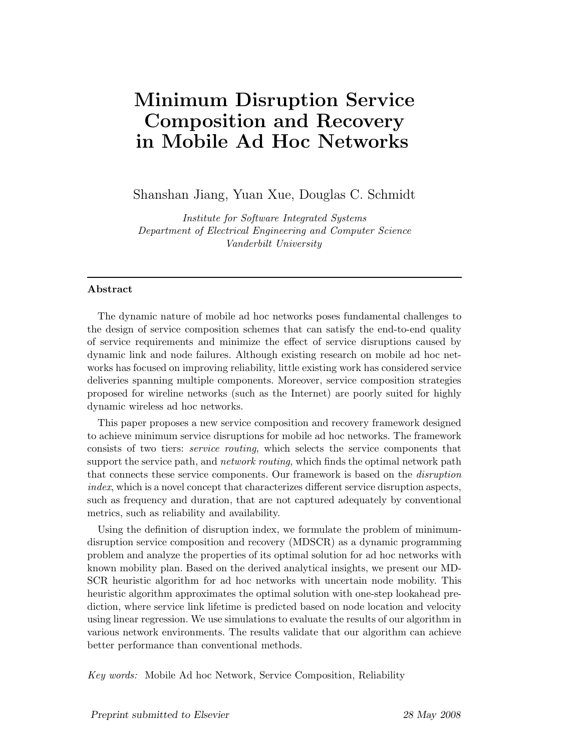# **Minimum Disruption Service Composition and Recovery in Mobile Ad Hoc Networks**

Shanshan Jiang, Yuan Xue, Douglas C. Schmidt

*Institute for Software Integrated Systems Department of Electrical Engineering and Computer Science Vanderbilt University*

## Abstract

The dynamic nature of mobile ad hoc networks poses fundamental challenges to the design of service composition schemes that can satisfy the end-to-end quality of service requirements and minimize the effect of service disruptions caused by dynamic link and node failures. Although existing research on mobile ad hoc networks has focused on improving reliability, little existing work has considered service deliveries spanning multiple components. Moreover, service composition strategies proposed for wireline networks (such as the Internet) are poorly suited for highly dynamic wireless ad hoc networks.

This paper proposes a new service composition and recovery framework designed to achieve minimum service disruptions for mobile ad hoc networks. The framework consists of two tiers: *service routing*, which selects the service components that support the service path, and *network routing*, which finds the optimal network path that connects these service components. Our framework is based on the *disruption index*, which is a novel concept that characterizes different service disruption aspects, such as frequency and duration, that are not captured adequately by conventional metrics, such as reliability and availability.

Using the definition of disruption index, we formulate the problem of minimumdisruption service composition and recovery (MDSCR) as a dynamic programming problem and analyze the properties of its optimal solution for ad hoc networks with known mobility plan. Based on the derived analytical insights, we present our MD-SCR heuristic algorithm for ad hoc networks with uncertain node mobility. This heuristic algorithm approximates the optimal solution with one-step lookahead prediction, where service link lifetime is predicted based on node location and velocity using linear regression. We use simulations to evaluate the results of our algorithm in various network environments. The results validate that our algorithm can achieve better performance than conventional methods.

*Key words:* Mobile Ad hoc Network, Service Composition, Reliability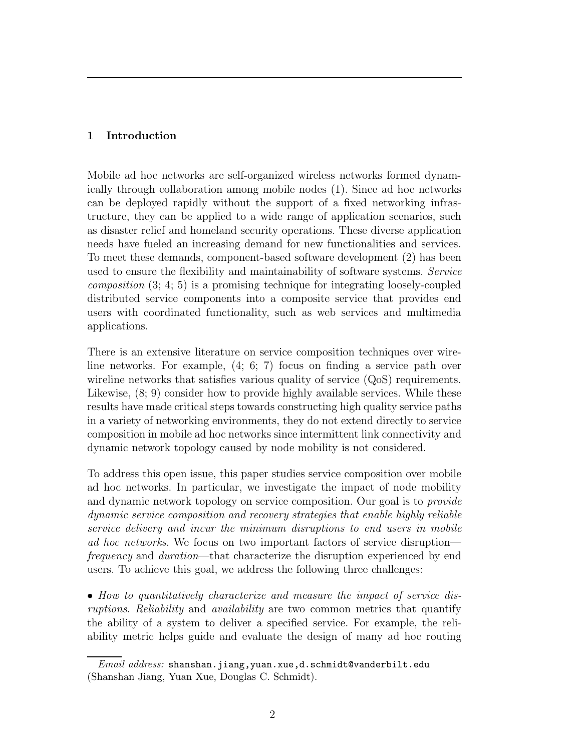# **1 Introduction**

Mobile ad hoc networks are self-organized wireless networks formed dynamically through collaboration among mobile nodes (1). Since ad hoc networks can be deployed rapidly without the support of a fixed networking infrastructure, they can be applied to a wide range of application scenarios, such as disaster relief and homeland security operations. These diverse application needs have fueled an increasing demand for new functionalities and services. To meet these demands, component-based software development (2) has been used to ensure the flexibility and maintainability of software systems. Service composition (3; 4; 5) is a promising technique for integrating loosely-coupled distributed service components into a composite service that provides end users with coordinated functionality, such as web services and multimedia applications.

There is an extensive literature on service composition techniques over wireline networks. For example, (4; 6; 7) focus on finding a service path over wireline networks that satisfies various quality of service (QoS) requirements. Likewise, (8; 9) consider how to provide highly available services. While these results have made critical steps towards constructing high quality service paths in a variety of networking environments, they do not extend directly to service composition in mobile ad hoc networks since intermittent link connectivity and dynamic network topology caused by node mobility is not considered.

To address this open issue, this paper studies service composition over mobile ad hoc networks. In particular, we investigate the impact of node mobility and dynamic network topology on service composition. Our goal is to provide dynamic service composition and recovery strategies that enable highly reliable service delivery and incur the minimum disruptions to end users in mobile ad hoc networks. We focus on two important factors of service disruption frequency and duration—that characterize the disruption experienced by end users. To achieve this goal, we address the following three challenges:

• How to quantitatively characterize and measure the impact of service disruptions. Reliability and availability are two common metrics that quantify the ability of a system to deliver a specified service. For example, the reliability metric helps guide and evaluate the design of many ad hoc routing

*Email address:* shanshan.jiang,yuan.xue,d.schmidt@vanderbilt.edu (Shanshan Jiang, Yuan Xue, Douglas C. Schmidt).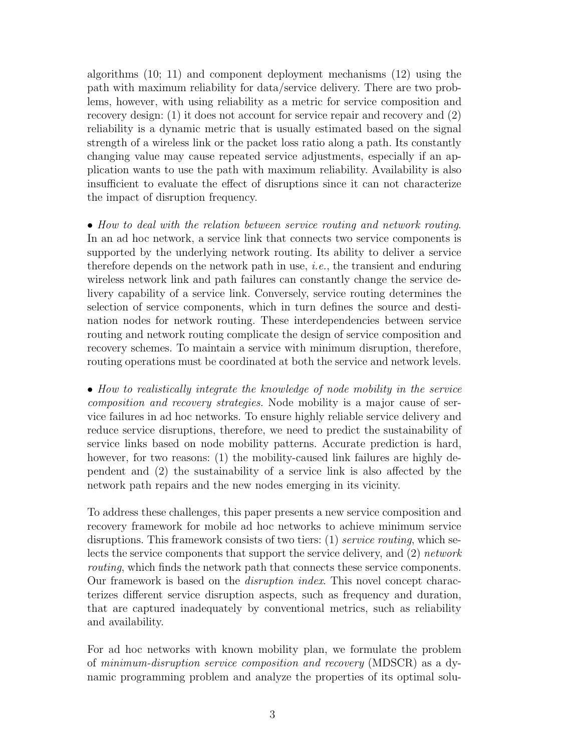algorithms (10; 11) and component deployment mechanisms (12) using the path with maximum reliability for data/service delivery. There are two problems, however, with using reliability as a metric for service composition and recovery design: (1) it does not account for service repair and recovery and (2) reliability is a dynamic metric that is usually estimated based on the signal strength of a wireless link or the packet loss ratio along a path. Its constantly changing value may cause repeated service adjustments, especially if an application wants to use the path with maximum reliability. Availability is also insufficient to evaluate the effect of disruptions since it can not characterize the impact of disruption frequency.

• How to deal with the relation between service routing and network routing. In an ad hoc network, a service link that connects two service components is supported by the underlying network routing. Its ability to deliver a service therefore depends on the network path in use, *i.e.*, the transient and enduring wireless network link and path failures can constantly change the service delivery capability of a service link. Conversely, service routing determines the selection of service components, which in turn defines the source and destination nodes for network routing. These interdependencies between service routing and network routing complicate the design of service composition and recovery schemes. To maintain a service with minimum disruption, therefore, routing operations must be coordinated at both the service and network levels.

• How to realistically integrate the knowledge of node mobility in the service composition and recovery strategies. Node mobility is a major cause of service failures in ad hoc networks. To ensure highly reliable service delivery and reduce service disruptions, therefore, we need to predict the sustainability of service links based on node mobility patterns. Accurate prediction is hard, however, for two reasons: (1) the mobility-caused link failures are highly dependent and (2) the sustainability of a service link is also affected by the network path repairs and the new nodes emerging in its vicinity.

To address these challenges, this paper presents a new service composition and recovery framework for mobile ad hoc networks to achieve minimum service disruptions. This framework consists of two tiers: (1) *service routing*, which selects the service components that support the service delivery, and (2) network routing, which finds the network path that connects these service components. Our framework is based on the disruption index. This novel concept characterizes different service disruption aspects, such as frequency and duration, that are captured inadequately by conventional metrics, such as reliability and availability.

For ad hoc networks with known mobility plan, we formulate the problem of minimum-disruption service composition and recovery (MDSCR) as a dynamic programming problem and analyze the properties of its optimal solu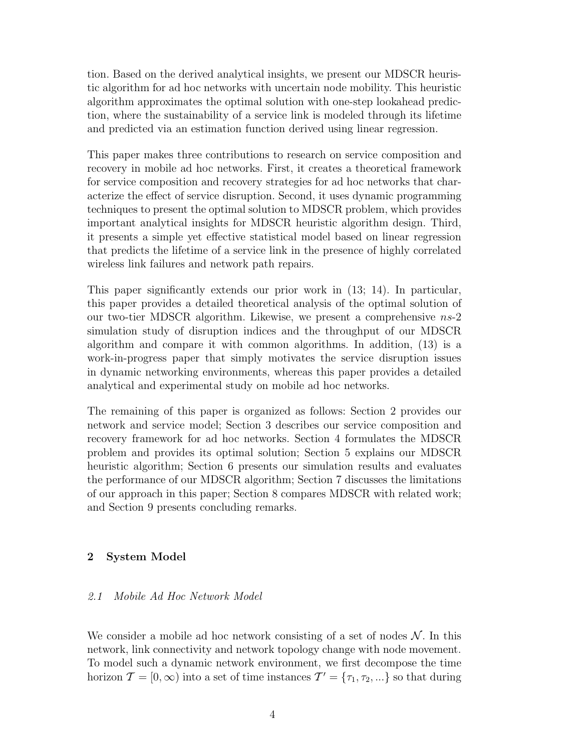tion. Based on the derived analytical insights, we present our MDSCR heuristic algorithm for ad hoc networks with uncertain node mobility. This heuristic algorithm approximates the optimal solution with one-step lookahead prediction, where the sustainability of a service link is modeled through its lifetime and predicted via an estimation function derived using linear regression.

This paper makes three contributions to research on service composition and recovery in mobile ad hoc networks. First, it creates a theoretical framework for service composition and recovery strategies for ad hoc networks that characterize the effect of service disruption. Second, it uses dynamic programming techniques to present the optimal solution to MDSCR problem, which provides important analytical insights for MDSCR heuristic algorithm design. Third, it presents a simple yet effective statistical model based on linear regression that predicts the lifetime of a service link in the presence of highly correlated wireless link failures and network path repairs.

This paper significantly extends our prior work in (13; 14). In particular, this paper provides a detailed theoretical analysis of the optimal solution of our two-tier MDSCR algorithm. Likewise, we present a comprehensive ns-2 simulation study of disruption indices and the throughput of our MDSCR algorithm and compare it with common algorithms. In addition, (13) is a work-in-progress paper that simply motivates the service disruption issues in dynamic networking environments, whereas this paper provides a detailed analytical and experimental study on mobile ad hoc networks.

The remaining of this paper is organized as follows: Section 2 provides our network and service model; Section 3 describes our service composition and recovery framework for ad hoc networks. Section 4 formulates the MDSCR problem and provides its optimal solution; Section 5 explains our MDSCR heuristic algorithm; Section 6 presents our simulation results and evaluates the performance of our MDSCR algorithm; Section 7 discusses the limitations of our approach in this paper; Section 8 compares MDSCR with related work; and Section 9 presents concluding remarks.

# **2 System Model**

## 2.1 Mobile Ad Hoc Network Model

We consider a mobile ad hoc network consisting of a set of nodes  $\mathcal N$ . In this network, link connectivity and network topology change with node movement. To model such a dynamic network environment, we first decompose the time horizon  $\mathcal{T} = [0, \infty)$  into a set of time instances  $\mathcal{T}' = {\tau_1, \tau_2, ...}$  so that during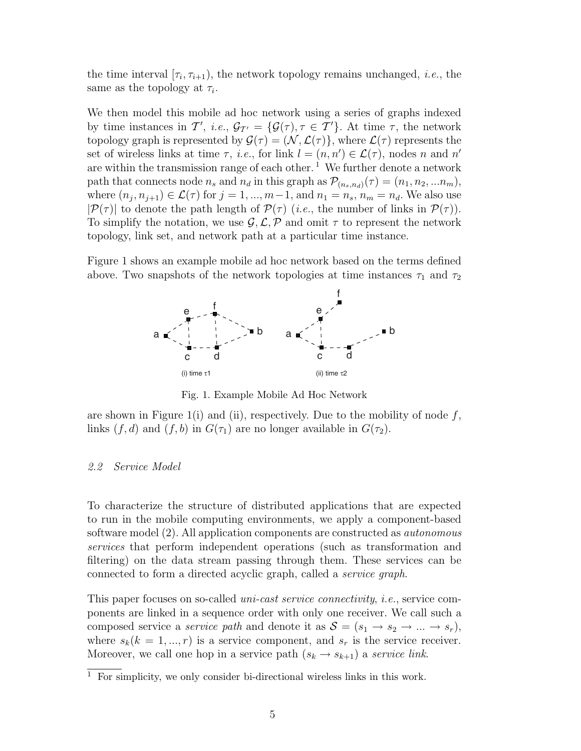the time interval  $[\tau_i, \tau_{i+1})$ , the network topology remains unchanged, *i.e.*, the same as the topology at  $\tau_i$ .

We then model this mobile ad hoc network using a series of graphs indexed by time instances in T', i.e.,  $\mathcal{G}_{\mathcal{T}'} = {\mathcal{G}(\tau), \tau \in \mathcal{T}'}$ . At time  $\tau$ , the network topology graph is represented by  $\mathcal{G}(\tau)=(\mathcal{N},\mathcal{L}(\tau))$ , where  $\mathcal{L}(\tau)$  represents the set of wireless links at time  $\tau$ , *i.e.*, for link  $l = (n, n') \in \mathcal{L}(\tau)$ , nodes n and n' are within the transmission range of each other.<sup>1</sup> We further denote a network path that connects node  $n_s$  and  $n_d$  in this graph as  $\mathcal{P}_{(n_s,n_d)}(\tau)=(n_1, n_2, ... n_m),$ where  $(n_j, n_{j+1}) \in \mathcal{L}(\tau)$  for  $j = 1, ..., m-1$ , and  $n_1 = n_s$ ,  $n_m = n_d$ . We also use  $|\mathcal{P}(\tau)|$  to denote the path length of  $\mathcal{P}(\tau)$  (*i.e.*, the number of links in  $\mathcal{P}(\tau)$ ). To simplify the notation, we use  $\mathcal{G}, \mathcal{L}, \mathcal{P}$  and omit  $\tau$  to represent the network topology, link set, and network path at a particular time instance.

Figure 1 shows an example mobile ad hoc network based on the terms defined above. Two snapshots of the network topologies at time instances  $\tau_1$  and  $\tau_2$ 



Fig. 1. Example Mobile Ad Hoc Network

are shown in Figure 1(i) and (ii), respectively. Due to the mobility of node  $f$ , links  $(f, d)$  and  $(f, b)$  in  $G(\tau_1)$  are no longer available in  $G(\tau_2)$ .

#### 2.2 Service Model

To characterize the structure of distributed applications that are expected to run in the mobile computing environments, we apply a component-based software model (2). All application components are constructed as autonomous services that perform independent operations (such as transformation and filtering) on the data stream passing through them. These services can be connected to form a directed acyclic graph, called a service graph.

This paper focuses on so-called *uni-cast service connectivity, i.e.*, service components are linked in a sequence order with only one receiver. We call such a composed service a *service path* and denote it as  $S = (s_1 \rightarrow s_2 \rightarrow ... \rightarrow s_r)$ , where  $s_k(k = 1, ..., r)$  is a service component, and  $s_r$  is the service receiver. Moreover, we call one hop in a service path  $(s_k \rightarrow s_{k+1})$  a service link.

 $\overline{1}$  For simplicity, we only consider bi-directional wireless links in this work.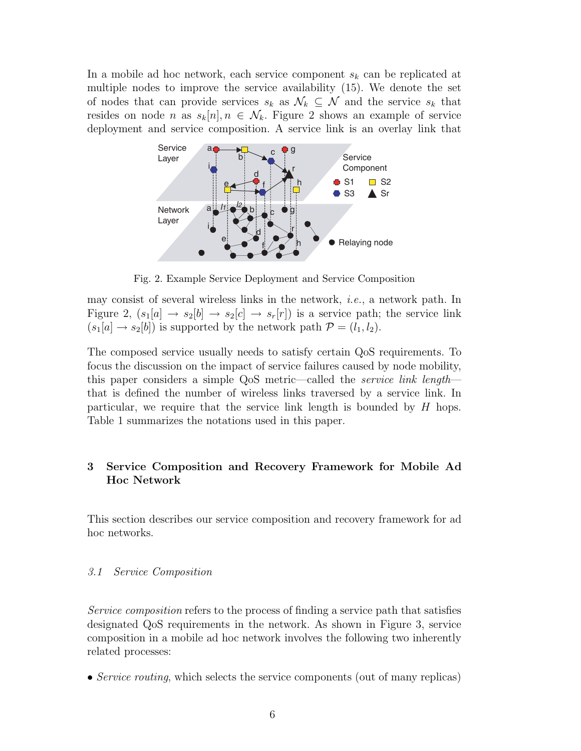In a mobile ad hoc network, each service component  $s_k$  can be replicated at multiple nodes to improve the service availability (15). We denote the set of nodes that can provide services  $s_k$  as  $\mathcal{N}_k \subseteq \mathcal{N}$  and the service  $s_k$  that resides on node n as  $s_k[n], n \in \mathcal{N}_k$ . Figure 2 shows an example of service deployment and service composition. A service link is an overlay link that



Fig. 2. Example Service Deployment and Service Composition

may consist of several wireless links in the network, i.e., a network path. In Figure 2,  $(s_1[a] \rightarrow s_2[b] \rightarrow s_2[c] \rightarrow s_r[r])$  is a service path; the service link  $(s_1[a] \rightarrow s_2[b])$  is supported by the network path  $\mathcal{P} = (l_1, l_2)$ .

The composed service usually needs to satisfy certain QoS requirements. To focus the discussion on the impact of service failures caused by node mobility, this paper considers a simple QoS metric—called the service link length that is defined the number of wireless links traversed by a service link. In particular, we require that the service link length is bounded by  $H$  hops. Table 1 summarizes the notations used in this paper.

# **3 Service Composition and Recovery Framework for Mobile Ad Hoc Network**

This section describes our service composition and recovery framework for ad hoc networks.

## 3.1 Service Composition

Service composition refers to the process of finding a service path that satisfies designated QoS requirements in the network. As shown in Figure 3, service composition in a mobile ad hoc network involves the following two inherently related processes:

• Service routing, which selects the service components (out of many replicas)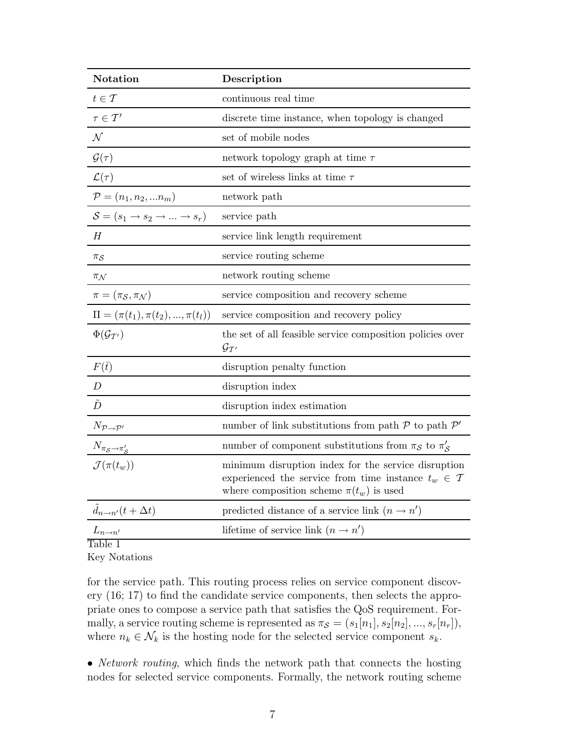| <b>Notation</b>                                                          | Description                                                                                                                                                            |
|--------------------------------------------------------------------------|------------------------------------------------------------------------------------------------------------------------------------------------------------------------|
| $t\in\mathcal{T}$                                                        | continuous real time                                                                                                                                                   |
| $\tau\in\mathcal{T}'$                                                    | discrete time instance, when topology is changed                                                                                                                       |
| $\mathcal N$                                                             | set of mobile nodes                                                                                                                                                    |
| $\mathcal{G}(\tau)$                                                      | network topology graph at time $\tau$                                                                                                                                  |
| $\mathcal{L}(\tau)$                                                      | set of wireless links at time $\tau$                                                                                                                                   |
| $P = (n_1, n_2,  n_m)$                                                   | network path                                                                                                                                                           |
| $\mathcal{S} = (s_1 \rightarrow s_2 \rightarrow \ldots \rightarrow s_r)$ | service path                                                                                                                                                           |
| Н                                                                        | service link length requirement                                                                                                                                        |
| $\pi_{\mathcal{S}}$                                                      | service routing scheme                                                                                                                                                 |
| $\pi_{\mathcal{N}}$                                                      | network routing scheme                                                                                                                                                 |
| $\pi = (\pi_{\mathcal{S}}, \pi_{\mathcal{N}})$                           | service composition and recovery scheme                                                                                                                                |
| $\Pi = (\pi(t_1), \pi(t_2), , \pi(t_l))$                                 | service composition and recovery policy                                                                                                                                |
| $\Phi(\mathcal{G}_{\mathcal{T}'})$                                       | the set of all feasible service composition policies over<br>$\mathcal{G}_{\mathcal{T}'}$                                                                              |
| $F(\bar{t})$                                                             | disruption penalty function                                                                                                                                            |
| $\boldsymbol{D}$                                                         | disruption index                                                                                                                                                       |
| $\tilde{D}$                                                              | disruption index estimation                                                                                                                                            |
| $N_{\mathcal{P}\rightarrow\mathcal{P}'}$                                 | number of link substitutions from path $P$ to path $P'$                                                                                                                |
| $N_{\pi_{\mathcal{S}} \rightarrow \pi'_{\mathcal{S}}}$                   | number of component substitutions from $\pi_{\mathcal{S}}$ to $\pi_{\mathcal{S}}'$                                                                                     |
| $\mathcal{J}(\pi(t_w))$                                                  | minimum disruption index for the service disruption<br>experienced the service from time instance $t_w \in \mathcal{T}$<br>where composition scheme $\pi(t_w)$ is used |
| $d_{n\rightarrow n'}(t+\Delta t)$                                        | predicted distance of a service link $(n \rightarrow n')$                                                                                                              |
| $\frac{L_{n \to n'}}{\text{Table 1}}$                                    | lifetime of service link $(n \rightarrow n')$                                                                                                                          |
|                                                                          |                                                                                                                                                                        |

Key Notations

for the service path. This routing process relies on service component discovery (16; 17) to find the candidate service components, then selects the appropriate ones to compose a service path that satisfies the QoS requirement. Formally, a service routing scheme is represented as  $\pi_{\mathcal{S}} = (s_1[n_1], s_2[n_2], ..., s_r[n_r]),$ where  $n_k \in \mathcal{N}_k$  is the hosting node for the selected service component  $s_k$ .

• *Network routing*, which finds the network path that connects the hosting nodes for selected service components. Formally, the network routing scheme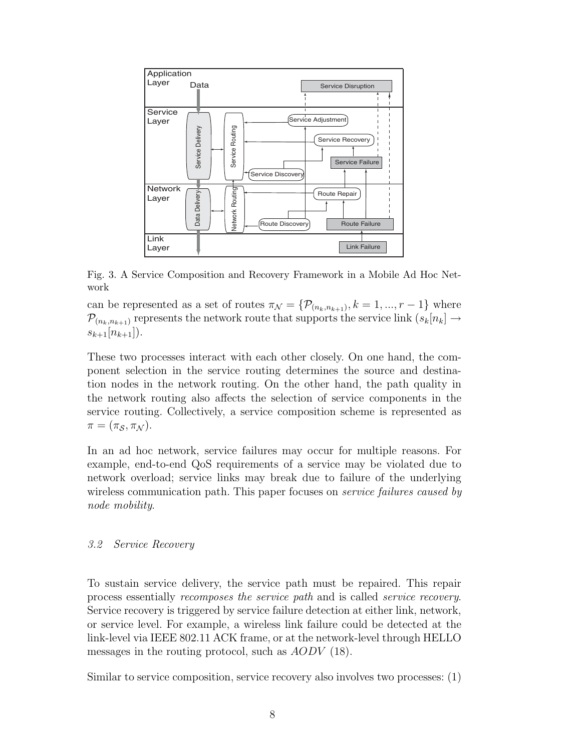

Fig. 3. A Service Composition and Recovery Framework in a Mobile Ad Hoc Network

can be represented as a set of routes  $\pi_{\mathcal{N}} = {\mathcal{P}_{(n_k,n_{k+1})}, k = 1, ..., r-1}$  where  $P_{(n_k,n_{k+1})}$  represents the network route that supports the service link  $(s_k[n_k]) \rightarrow$  $s_{k+1}[n_{k+1}].$ 

These two processes interact with each other closely. On one hand, the component selection in the service routing determines the source and destination nodes in the network routing. On the other hand, the path quality in the network routing also affects the selection of service components in the service routing. Collectively, a service composition scheme is represented as  $\pi = (\pi_{\mathcal{S}}, \pi_{\mathcal{N}}).$ 

In an ad hoc network, service failures may occur for multiple reasons. For example, end-to-end QoS requirements of a service may be violated due to network overload; service links may break due to failure of the underlying wireless communication path. This paper focuses on *service failures caused by* node mobility.

# 3.2 Service Recovery

To sustain service delivery, the service path must be repaired. This repair process essentially recomposes the service path and is called service recovery. Service recovery is triggered by service failure detection at either link, network, or service level. For example, a wireless link failure could be detected at the link-level via IEEE 802.11 ACK frame, or at the network-level through HELLO messages in the routing protocol, such as AODV (18).

Similar to service composition, service recovery also involves two processes: (1)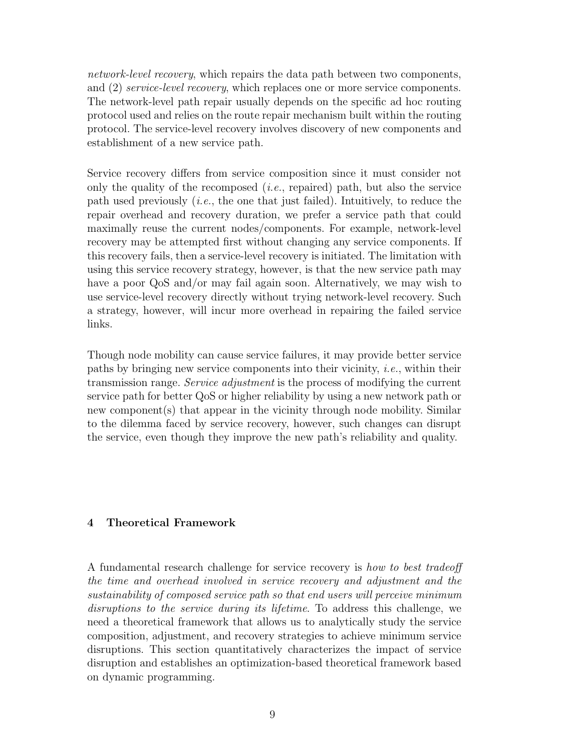network-level recovery, which repairs the data path between two components, and (2) service-level recovery, which replaces one or more service components. The network-level path repair usually depends on the specific ad hoc routing protocol used and relies on the route repair mechanism built within the routing protocol. The service-level recovery involves discovery of new components and establishment of a new service path.

Service recovery differs from service composition since it must consider not only the quality of the recomposed  $(i.e.,$  repaired) path, but also the service path used previously (*i.e.*, the one that just failed). Intuitively, to reduce the repair overhead and recovery duration, we prefer a service path that could maximally reuse the current nodes/components. For example, network-level recovery may be attempted first without changing any service components. If this recovery fails, then a service-level recovery is initiated. The limitation with using this service recovery strategy, however, is that the new service path may have a poor QoS and/or may fail again soon. Alternatively, we may wish to use service-level recovery directly without trying network-level recovery. Such a strategy, however, will incur more overhead in repairing the failed service links.

Though node mobility can cause service failures, it may provide better service paths by bringing new service components into their vicinity, *i.e.*, within their transmission range. Service adjustment is the process of modifying the current service path for better QoS or higher reliability by using a new network path or new component(s) that appear in the vicinity through node mobility. Similar to the dilemma faced by service recovery, however, such changes can disrupt the service, even though they improve the new path's reliability and quality.

# **4 Theoretical Framework**

A fundamental research challenge for service recovery is how to best tradeoff the time and overhead involved in service recovery and adjustment and the sustainability of composed service path so that end users will perceive minimum disruptions to the service during its lifetime. To address this challenge, we need a theoretical framework that allows us to analytically study the service composition, adjustment, and recovery strategies to achieve minimum service disruptions. This section quantitatively characterizes the impact of service disruption and establishes an optimization-based theoretical framework based on dynamic programming.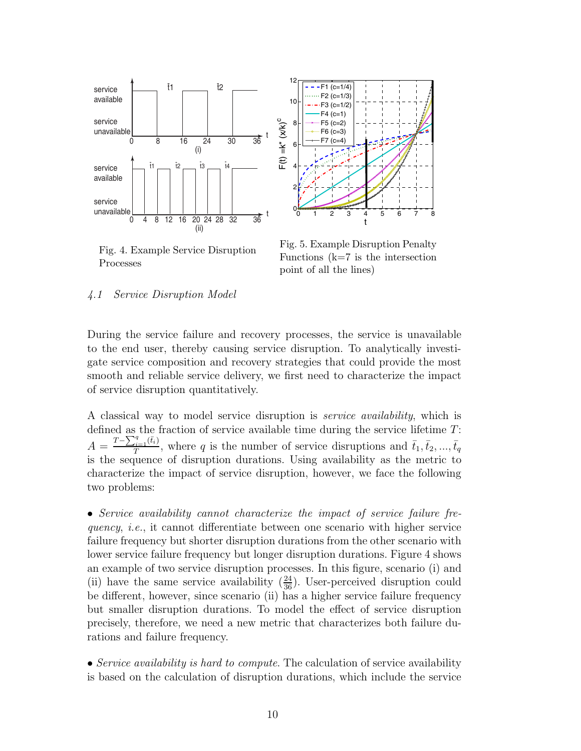



Fig. 4. Example Service Disruption Processes

Fig. 5. Example Disruption Penalty Functions  $(k=7$  is the intersection point of all the lines)

#### 4.1 Service Disruption Model

During the service failure and recovery processes, the service is unavailable to the end user, thereby causing service disruption. To analytically investigate service composition and recovery strategies that could provide the most smooth and reliable service delivery, we first need to characterize the impact of service disruption quantitatively.

A classical way to model service disruption is service availability, which is defined as the fraction of service available time during the service lifetime T:  $A = \frac{T - \sum_{i=1}^{q}(\bar{t}_i)}{T}$ , where q is the number of service disruptions and  $\bar{t}_1, \bar{t}_2, ..., \bar{t}_q$ is the sequence of disruption durations. Using availability as the metric to characterize the impact of service disruption, however, we face the following two problems:

• Service availability cannot characterize the impact of service failure frequency, i.e., it cannot differentiate between one scenario with higher service failure frequency but shorter disruption durations from the other scenario with lower service failure frequency but longer disruption durations. Figure 4 shows an example of two service disruption processes. In this figure, scenario (i) and (ii) have the same service availability  $(\frac{24}{36})$ . User-perceived disruption could be different, however, since scenario (ii) has a higher service failure frequency but smaller disruption durations. To model the effect of service disruption precisely, therefore, we need a new metric that characterizes both failure durations and failure frequency.

• Service availability is hard to compute. The calculation of service availability is based on the calculation of disruption durations, which include the service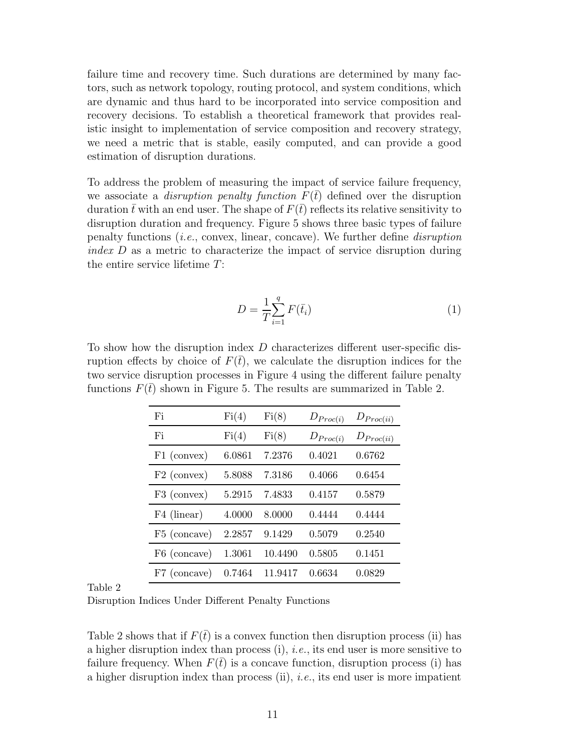failure time and recovery time. Such durations are determined by many factors, such as network topology, routing protocol, and system conditions, which are dynamic and thus hard to be incorporated into service composition and recovery decisions. To establish a theoretical framework that provides realistic insight to implementation of service composition and recovery strategy, we need a metric that is stable, easily computed, and can provide a good estimation of disruption durations.

To address the problem of measuring the impact of service failure frequency, we associate a *disruption penalty function*  $F(\bar{t})$  defined over the disruption duration  $\bar{t}$  with an end user. The shape of  $F(\bar{t})$  reflects its relative sensitivity to disruption duration and frequency. Figure 5 shows three basic types of failure penalty functions (i.e., convex, linear, concave). We further define disruption index D as a metric to characterize the impact of service disruption during the entire service lifetime T:

$$
D = \frac{1}{T} \sum_{i=1}^{q} F(\bar{t}_i)
$$
 (1)

To show how the disruption index D characterizes different user-specific disruption effects by choice of  $F(\bar{t})$ , we calculate the disruption indices for the two service disruption processes in Figure 4 using the different failure penalty functions  $F(\bar{t})$  shown in Figure 5. The results are summarized in Table 2.

| Fi                       | Fi(4)  | Fi(8)   | $D_{Proc(i)}$ | $D_{Proc(ii)}$ |
|--------------------------|--------|---------|---------------|----------------|
| Fi                       | Fi(4)  | Fi(8)   | $D_{Proc(i)}$ | $D_{Proc(ii)}$ |
| F1 (convex)              | 6.0861 | 7.2376  | 0.4021        | 0.6762         |
| $F2$ (convex)            | 5.8088 | 7.3186  | 0.4066        | 0.6454         |
| F3 (convex)              | 5.2915 | 7.4833  | 0.4157        | 0.5879         |
| F4 (linear)              | 4.0000 | 8.0000  | 0.4444        | 0.4444         |
| F5 (concave)             | 2.2857 | 9.1429  | 0.5079        | 0.2540         |
| F <sub>6</sub> (concave) | 1.3061 | 10.4490 | 0.5805        | 0.1451         |
| F7 (concave)             | 0.7464 | 11.9417 | 0.6634        | 0.0829         |

Table 2

Disruption Indices Under Different Penalty Functions

Table 2 shows that if  $F(\bar{t})$  is a convex function then disruption process (ii) has a higher disruption index than process  $(i)$ , *i.e.*, its end user is more sensitive to failure frequency. When  $F(\bar{t})$  is a concave function, disruption process (i) has a higher disruption index than process (ii), *i.e.*, its end user is more impatient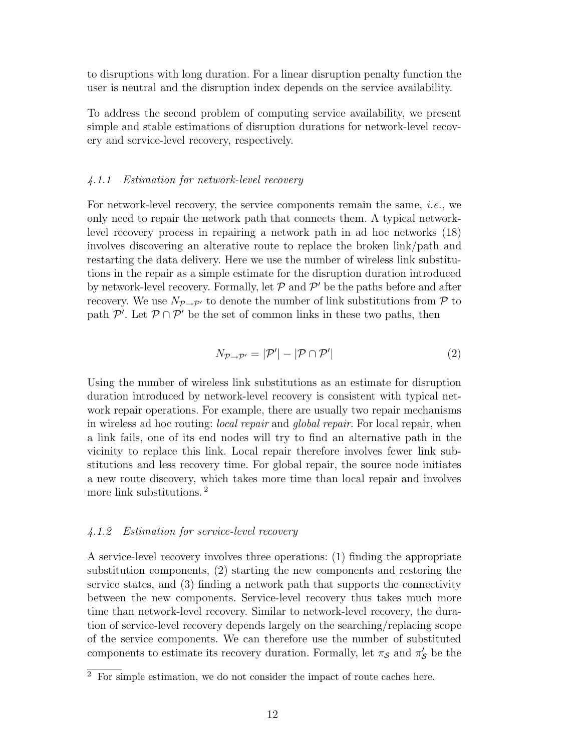to disruptions with long duration. For a linear disruption penalty function the user is neutral and the disruption index depends on the service availability.

To address the second problem of computing service availability, we present simple and stable estimations of disruption durations for network-level recovery and service-level recovery, respectively.

## 4.1.1 Estimation for network-level recovery

For network-level recovery, the service components remain the same, *i.e.*, we only need to repair the network path that connects them. A typical networklevel recovery process in repairing a network path in ad hoc networks (18) involves discovering an alterative route to replace the broken link/path and restarting the data delivery. Here we use the number of wireless link substitutions in the repair as a simple estimate for the disruption duration introduced by network-level recovery. Formally, let  $P$  and  $P'$  be the paths before and after recovery. We use  $N_{\mathcal{P}\rightarrow \mathcal{P}'}$  to denote the number of link substitutions from  $\mathcal P$  to path  $\mathcal{P}'$ . Let  $\mathcal{P} \cap \mathcal{P}'$  be the set of common links in these two paths, then

$$
N_{\mathcal{P}\rightarrow\mathcal{P}'} = |\mathcal{P}'| - |\mathcal{P}\cap\mathcal{P}'| \tag{2}
$$

Using the number of wireless link substitutions as an estimate for disruption duration introduced by network-level recovery is consistent with typical network repair operations. For example, there are usually two repair mechanisms in wireless ad hoc routing: *local repair* and *global repair*. For local repair, when a link fails, one of its end nodes will try to find an alternative path in the vicinity to replace this link. Local repair therefore involves fewer link substitutions and less recovery time. For global repair, the source node initiates a new route discovery, which takes more time than local repair and involves more link substitutions. <sup>2</sup>

#### 4.1.2 Estimation for service-level recovery

A service-level recovery involves three operations: (1) finding the appropriate substitution components, (2) starting the new components and restoring the service states, and (3) finding a network path that supports the connectivity between the new components. Service-level recovery thus takes much more time than network-level recovery. Similar to network-level recovery, the duration of service-level recovery depends largely on the searching/replacing scope of the service components. We can therefore use the number of substituted components to estimate its recovery duration. Formally, let  $\pi_{\mathcal{S}}$  and  $\pi'_{\mathcal{S}}$  be the

 $\overline{2}$  For simple estimation, we do not consider the impact of route caches here.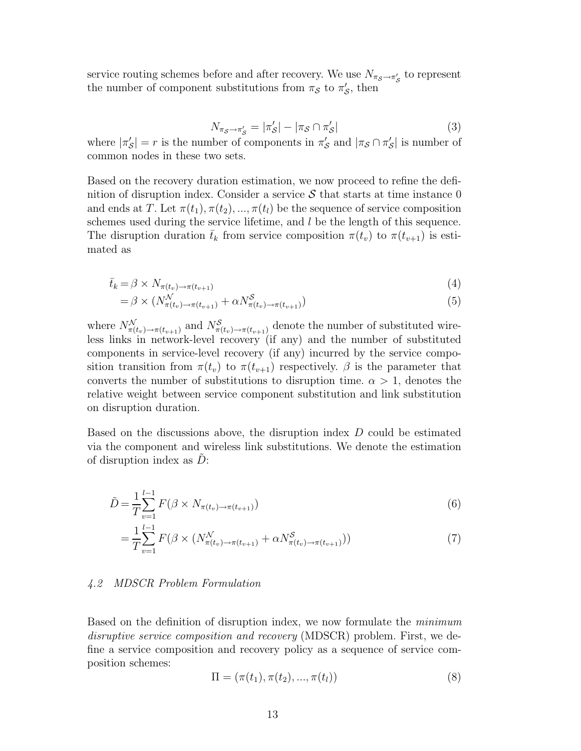service routing schemes before and after recovery. We use  $N_{\pi_S \to \pi_S'}$  $\zeta_s$  to represent the number of component substitutions from  $\pi_{\mathcal{S}}$  to  $\pi'_{\mathcal{S}}$ , then

$$
N_{\pi_{\mathcal{S}} \to \pi'_{\mathcal{S}}} = |\pi'_{\mathcal{S}}| - |\pi_{\mathcal{S}} \cap \pi'_{\mathcal{S}}| \tag{3}
$$

where  $|\pi'_{\mathcal{S}}| = r$  is the number of components in  $\pi'_{\mathcal{S}}$  and  $|\pi_{\mathcal{S}} \cap \pi'_{\mathcal{S}}|$  is number of common nodes in these two sets.

Based on the recovery duration estimation, we now proceed to refine the definition of disruption index. Consider a service  $\mathcal S$  that starts at time instance 0 and ends at T. Let  $\pi(t_1), \pi(t_2), ..., \pi(t_l)$  be the sequence of service composition schemes used during the service lifetime, and l be the length of this sequence. The disruption duration  $\bar{t}_k$  from service composition  $\pi(t_v)$  to  $\pi(t_{v+1})$  is estimated as

$$
\bar{t}_k = \beta \times N_{\pi(t_v) \to \pi(t_{v+1})}
$$
\n<sup>(4)</sup>

$$
= \beta \times (N_{\pi(t_v)\to\pi(t_{v+1})}^{\mathcal{N}} + \alpha N_{\pi(t_v)\to\pi(t_{v+1})}^{\mathcal{S}})
$$
\n
$$
\tag{5}
$$

where  $N_{\pi(t_v)\to\pi(t_{v+1})}^{\mathcal{N}}$  and  $N_{\pi(t_v)\to\pi(t_{v+1})}^{\mathcal{S}}$  denote the number of substituted wireless links in network-level recovery (if any) and the number of substituted components in service-level recovery (if any) incurred by the service composition transition from  $\pi(t_v)$  to  $\pi(t_{v+1})$  respectively.  $\beta$  is the parameter that converts the number of substitutions to disruption time.  $\alpha > 1$ , denotes the relative weight between service component substitution and link substitution on disruption duration.

Based on the discussions above, the disruption index D could be estimated via the component and wireless link substitutions. We denote the estimation of disruption index as  $\ddot{D}$ :

$$
\tilde{D} = \frac{1}{T} \sum_{v=1}^{l-1} F(\beta \times N_{\pi(t_v) \to \pi(t_{v+1})})
$$
\n(6)

$$
= \frac{1}{T} \sum_{v=1}^{l-1} F(\beta \times (N_{\pi(t_v)\to\pi(t_{v+1})}^{\mathcal{N}} + \alpha N_{\pi(t_v)\to\pi(t_{v+1})}^{\mathcal{S}}))
$$
(7)

#### 4.2 MDSCR Problem Formulation

Based on the definition of disruption index, we now formulate the minimum disruptive service composition and recovery (MDSCR) problem. First, we define a service composition and recovery policy as a sequence of service composition schemes:

$$
\Pi = (\pi(t_1), \pi(t_2), ..., \pi(t_l))
$$
\n(8)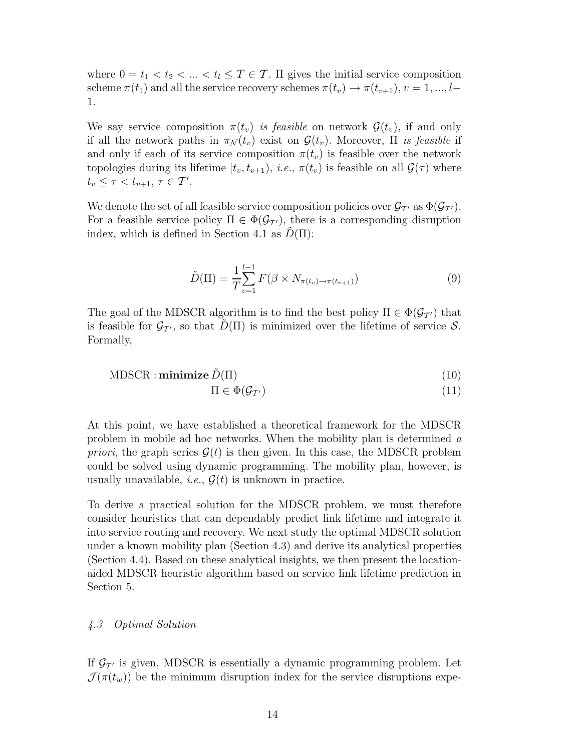where  $0 = t_1 < t_2 < ... < t_l \leq T \in \mathcal{T}$ . If gives the initial service composition scheme  $\pi(t_1)$  and all the service recovery schemes  $\pi(t_v) \to \pi(t_{v+1}), v = 1, ..., l-$ 1.

We say service composition  $\pi(t_v)$  is feasible on network  $\mathcal{G}(t_v)$ , if and only if all the network paths in  $\pi_{\mathcal{N}}(t_v)$  exist on  $\mathcal{G}(t_v)$ . Moreover,  $\Pi$  is feasible if and only if each of its service composition  $\pi(t_v)$  is feasible over the network topologies during its lifetime  $[t_v, t_{v+1}), i.e., \pi(t_v)$  is feasible on all  $\mathcal{G}(\tau)$  where  $t_v \leq \tau < t_{v+1}, \tau \in \mathcal{T}'$ .

We denote the set of all feasible service composition policies over  $\mathcal{G}_{\mathcal{T}'}$  as  $\Phi(\mathcal{G}_{\mathcal{T}'}).$ For a feasible service policy  $\Pi \in \Phi(\mathcal{G}_{\mathcal{T}})$ , there is a corresponding disruption index, which is defined in Section 4.1 as  $D(\Pi)$ :

$$
\tilde{D}(\Pi) = \frac{1}{T} \sum_{v=1}^{l-1} F(\beta \times N_{\pi(t_v) \to \pi(t_{v+1})})
$$
\n(9)

The goal of the MDSCR algorithm is to find the best policy  $\Pi \in \Phi(\mathcal{G}_{\mathcal{T}'} )$  that is feasible for  $\mathcal{G}_{\mathcal{T}'},$  so that  $\tilde{D}(\Pi)$  is minimized over the lifetime of service  $\mathcal{S}.$ Formally,

$$
MDSCR : \mathbf{minimize} \, \tilde{D}(\Pi) \tag{10}
$$

$$
\Pi \in \Phi(\mathcal{G}_{\mathcal{T}'})
$$
\n<sup>(11)</sup>

At this point, we have established a theoretical framework for the MDSCR problem in mobile ad hoc networks. When the mobility plan is determined a *priori*, the graph series  $\mathcal{G}(t)$  is then given. In this case, the MDSCR problem could be solved using dynamic programming. The mobility plan, however, is usually unavailable, *i.e.*,  $\mathcal{G}(t)$  is unknown in practice.

To derive a practical solution for the MDSCR problem, we must therefore consider heuristics that can dependably predict link lifetime and integrate it into service routing and recovery. We next study the optimal MDSCR solution under a known mobility plan (Section 4.3) and derive its analytical properties (Section 4.4). Based on these analytical insights, we then present the locationaided MDSCR heuristic algorithm based on service link lifetime prediction in Section 5.

## 4.3 Optimal Solution

If  $\mathcal{G}_{\mathcal{T}'}$  is given, MDSCR is essentially a dynamic programming problem. Let  $\mathcal{J}(\pi(t_w))$  be the minimum disruption index for the service disruptions expe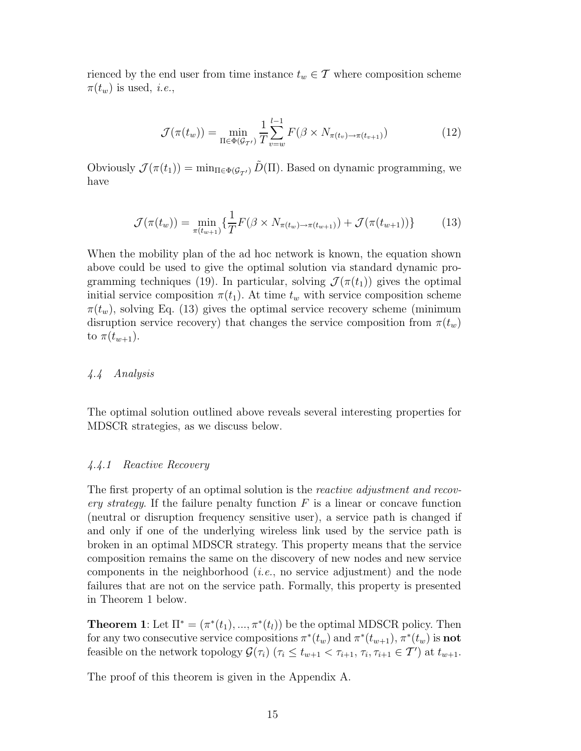rienced by the end user from time instance  $t_w \in \mathcal{T}$  where composition scheme  $\pi(t_w)$  is used, *i.e.*,

$$
\mathcal{J}(\pi(t_w)) = \min_{\Pi \in \Phi(\mathcal{G}_{\mathcal{T}'})} \frac{1}{T} \sum_{v=w}^{l-1} F(\beta \times N_{\pi(t_v) \to \pi(t_{v+1})})
$$
(12)

Obviously  $\mathcal{J}(\pi(t_1)) = \min_{\Pi \in \Phi(\mathcal{G}_{\mathcal{T}'})} \tilde{D}(\Pi)$ . Based on dynamic programming, we have

$$
\mathcal{J}(\pi(t_w)) = \min_{\pi(t_{w+1})} \{ \frac{1}{T} F(\beta \times N_{\pi(t_w) \to \pi(t_{w+1})}) + \mathcal{J}(\pi(t_{w+1})) \} \tag{13}
$$

When the mobility plan of the ad hoc network is known, the equation shown above could be used to give the optimal solution via standard dynamic programming techniques (19). In particular, solving  $\mathcal{J}(\pi(t_1))$  gives the optimal initial service composition  $\pi(t_1)$ . At time  $t_w$  with service composition scheme  $\pi(t_w)$ , solving Eq. (13) gives the optimal service recovery scheme (minimum disruption service recovery) that changes the service composition from  $\pi(t_w)$ to  $\pi(t_{w+1})$ .

## 4.4 Analysis

The optimal solution outlined above reveals several interesting properties for MDSCR strategies, as we discuss below.

## 4.4.1 Reactive Recovery

The first property of an optimal solution is the *reactive adjustment and recov*ery strategy. If the failure penalty function  $F$  is a linear or concave function (neutral or disruption frequency sensitive user), a service path is changed if and only if one of the underlying wireless link used by the service path is broken in an optimal MDSCR strategy. This property means that the service composition remains the same on the discovery of new nodes and new service components in the neighborhood  $(i.e.,$  no service adjustment) and the node failures that are not on the service path. Formally, this property is presented in Theorem 1 below.

**Theorem 1**: Let  $\Pi^* = (\pi^*(t_1), ..., \pi^*(t_l))$  be the optimal MDSCR policy. Then for any two consecutive service compositions  $\pi^*(t_w)$  and  $\pi^*(t_{w+1}), \pi^*(t_w)$  is **not** feasible on the network topology  $\mathcal{G}(\tau_i)$  ( $\tau_i \leq t_{w+1} < \tau_{i+1}, \tau_i, \tau_{i+1} \in \mathcal{T}'$ ) at  $t_{w+1}$ .

The proof of this theorem is given in the Appendix A.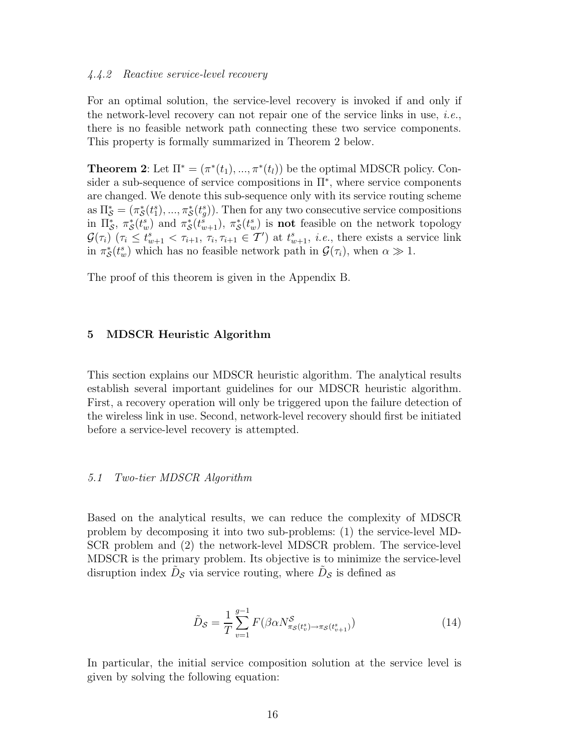#### 4.4.2 Reactive service-level recovery

For an optimal solution, the service-level recovery is invoked if and only if the network-level recovery can not repair one of the service links in use, *i.e.*, there is no feasible network path connecting these two service components. This property is formally summarized in Theorem 2 below.

**Theorem 2**: Let  $\Pi^* = (\pi^*(t_1), ..., \pi^*(t_l))$  be the optimal MDSCR policy. Consider a sub-sequence of service compositions in  $\Pi^*$ , where service components are changed. We denote this sub-sequence only with its service routing scheme as  $\Pi_{\mathcal{S}}^* = (\pi_{\mathcal{S}}^*(t_1^s), ..., \pi_{\mathcal{S}}^*(t_g^s))$ . Then for any two consecutive service compositions in  $\Pi_{\mathcal{S}}^*, \pi_{\mathcal{S}}^*(t_w^s)$  and  $\pi_{\mathcal{S}}^*(t_{w+1}^s), \pi_{\mathcal{S}}^*(t_w^s)$  is **not** feasible on the network topology  $\mathcal{G}(\tau_i)$   $(\tau_i \leq t_{w+1}^s < \tau_{i+1}, \tau_i, \tau_{i+1} \in \mathcal{T}')$  at  $t_{w+1}^s$ , *i.e.*, there exists a service link in  $\pi_{\mathcal{S}}^*(t_w^s)$  which has no feasible network path in  $\mathcal{G}(\tau_i)$ , when  $\alpha \gg 1$ .

The proof of this theorem is given in the Appendix B.

## **5 MDSCR Heuristic Algorithm**

This section explains our MDSCR heuristic algorithm. The analytical results establish several important guidelines for our MDSCR heuristic algorithm. First, a recovery operation will only be triggered upon the failure detection of the wireless link in use. Second, network-level recovery should first be initiated before a service-level recovery is attempted.

#### 5.1 Two-tier MDSCR Algorithm

Based on the analytical results, we can reduce the complexity of MDSCR problem by decomposing it into two sub-problems: (1) the service-level MD-SCR problem and (2) the network-level MDSCR problem. The service-level MDSCR is the primary problem. Its objective is to minimize the service-level disruption index  $D_{\mathcal{S}}$  via service routing, where  $D_{\mathcal{S}}$  is defined as

$$
\tilde{D}_{\mathcal{S}} = \frac{1}{T} \sum_{v=1}^{g-1} F(\beta \alpha N_{\pi_{\mathcal{S}}(t_v^s) \to \pi_{\mathcal{S}}(t_{v+1}^s)}^{\mathcal{S}})
$$
\n(14)

In particular, the initial service composition solution at the service level is given by solving the following equation: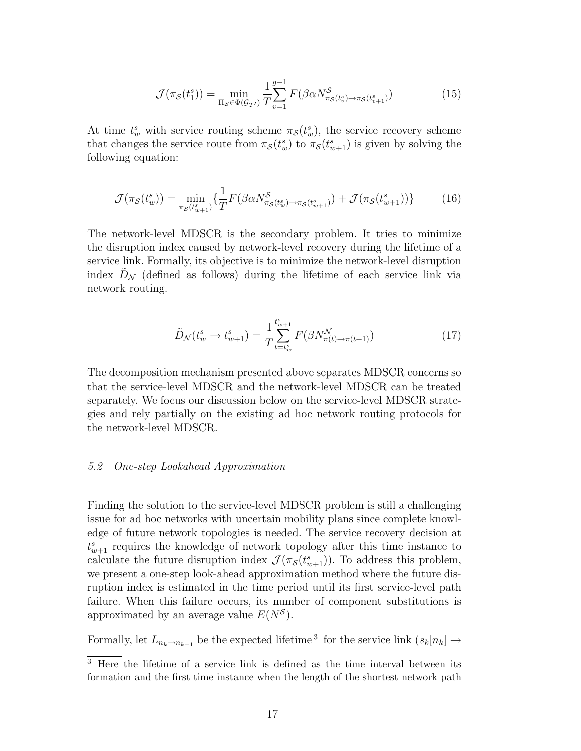$$
\mathcal{J}(\pi_{\mathcal{S}}(t_1^s)) = \min_{\Pi_{\mathcal{S}} \in \Phi(\mathcal{G}_{\mathcal{T}'})} \frac{1}{T} \sum_{v=1}^{g-1} F(\beta \alpha N_{\pi_{\mathcal{S}}(t_v^s) \to \pi_{\mathcal{S}}(t_{v+1}^s)})
$$
(15)

At time  $t_w^s$  with service routing scheme  $\pi_{\mathcal{S}}(t_w^s)$ , the service recovery scheme that changes the service route from  $\pi_{\mathcal{S}}(t_w^s)$  to  $\pi_{\mathcal{S}}(t_{w+1}^s)$  is given by solving the following equation:

$$
\mathcal{J}(\pi_{\mathcal{S}}(t_w^s)) = \min_{\pi_{\mathcal{S}}(t_{w+1}^s)} \left\{ \frac{1}{T} F(\beta \alpha N_{\pi_{\mathcal{S}}(t_w^s) \to \pi_{\mathcal{S}}(t_{w+1}^s)}) + \mathcal{J}(\pi_{\mathcal{S}}(t_{w+1}^s)) \right\}
$$
(16)

The network-level MDSCR is the secondary problem. It tries to minimize the disruption index caused by network-level recovery during the lifetime of a service link. Formally, its objective is to minimize the network-level disruption index  $D_{\mathcal{N}}$  (defined as follows) during the lifetime of each service link via network routing.

$$
\tilde{D}_{\mathcal{N}}(t_w^s \to t_{w+1}^s) = \frac{1}{T} \sum_{t=t_w^s}^{t_{w+1}^s} F(\beta N_{\pi(t) \to \pi(t+1)}^{\mathcal{N}})
$$
\n(17)

The decomposition mechanism presented above separates MDSCR concerns so that the service-level MDSCR and the network-level MDSCR can be treated separately. We focus our discussion below on the service-level MDSCR strategies and rely partially on the existing ad hoc network routing protocols for the network-level MDSCR.

#### 5.2 One-step Lookahead Approximation

Finding the solution to the service-level MDSCR problem is still a challenging issue for ad hoc networks with uncertain mobility plans since complete knowledge of future network topologies is needed. The service recovery decision at  $t_{w+1}^s$  requires the knowledge of network topology after this time instance to calculate the future disruption index  $\mathcal{J}(\pi_{\mathcal{S}}(t_{w+1}^s))$ . To address this problem, we present a one-step look-ahead approximation method where the future disruption index is estimated in the time period until its first service-level path failure. When this failure occurs, its number of component substitutions is approximated by an average value  $E(N^{\mathcal{S}})$ .

Formally, let  $L_{n_k\to n_{k+1}}$  be the expected lifetime <sup>3</sup> for the service link  $(s_k[n_k]) \to$ 

 $\overline{3}$  Here the lifetime of a service link is defined as the time interval between its formation and the first time instance when the length of the shortest network path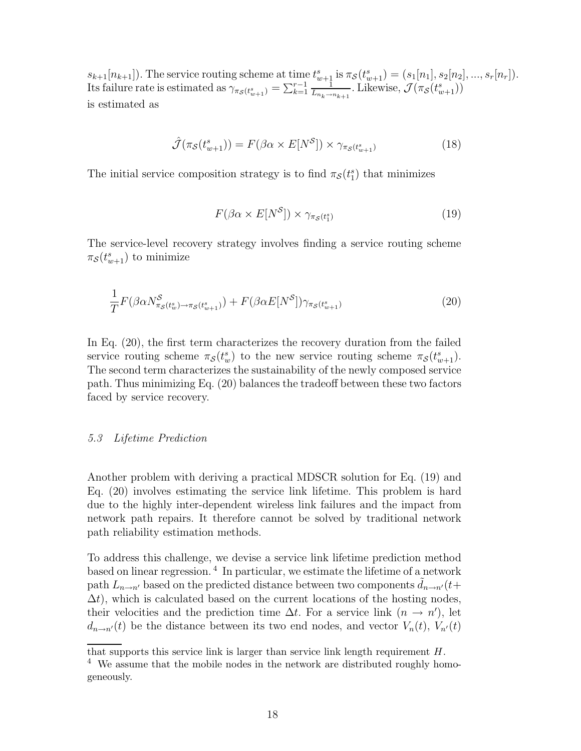$s_{k+1}[n_{k+1}].$  The service routing scheme at time  $t_{w+1}^s$  is  $\pi_{\mathcal{S}}(t_{w+1}^s) = (s_1[n_1], s_2[n_2], ..., s_r[n_r]).$ Its failure rate is estimated as  $\gamma_{\pi_{\mathcal{S}}(t_{w+1}^s)} = \sum_{k=1}^{r-1} \frac{1}{L_{n_k}}$  $\frac{1}{L_{n_k \to n_{k+1}}}$ . Likewise,  $\mathcal{J}(\pi_{\mathcal{S}}(t_{w+1}^s))$ is estimated as

$$
\hat{\mathcal{J}}(\pi_{\mathcal{S}}(t_{w+1}^s)) = F(\beta \alpha \times E[N^{\mathcal{S}}]) \times \gamma_{\pi_{\mathcal{S}}(t_{w+1}^s)} \tag{18}
$$

The initial service composition strategy is to find  $\pi_{\mathcal{S}}(t_1^s)$  that minimizes

$$
F(\beta \alpha \times E[N^S]) \times \gamma_{\pi_{\mathcal{S}}(t_1^s)}
$$
\n(19)

The service-level recovery strategy involves finding a service routing scheme  $\pi_{\mathcal{S}}(t_{w+1}^s)$  to minimize

$$
\frac{1}{T}F(\beta\alpha N^{\mathcal{S}}_{\pi_{\mathcal{S}}(t^s_w)\to\pi_{\mathcal{S}}(t^s_{w+1})}) + F(\beta\alpha E[N^{\mathcal{S}}])\gamma_{\pi_{\mathcal{S}}(t^s_{w+1})}
$$
\n(20)

In Eq. (20), the first term characterizes the recovery duration from the failed service routing scheme  $\pi_{\mathcal{S}}(t_w^s)$  to the new service routing scheme  $\pi_{\mathcal{S}}(t_{w+1}^s)$ . The second term characterizes the sustainability of the newly composed service path. Thus minimizing Eq. (20) balances the tradeoff between these two factors faced by service recovery.

#### 5.3 Lifetime Prediction

Another problem with deriving a practical MDSCR solution for Eq. (19) and Eq. (20) involves estimating the service link lifetime. This problem is hard due to the highly inter-dependent wireless link failures and the impact from network path repairs. It therefore cannot be solved by traditional network path reliability estimation methods.

To address this challenge, we devise a service link lifetime prediction method based on linear regression. <sup>4</sup> In particular, we estimate the lifetime of a network path  $L_{n\to n'}$  based on the predicted distance between two components  $\tilde{d}_{n\to n'}(t+)$  $\Delta t$ , which is calculated based on the current locations of the hosting nodes, their velocities and the prediction time  $\Delta t$ . For a service link  $(n \to n')$ , let  $d_{n\rightarrow n'}(t)$  be the distance between its two end nodes, and vector  $V_n(t)$ ,  $V_{n'}(t)$ 

that supports this service link is larger than service link length requirement H.

<sup>&</sup>lt;sup>4</sup> We assume that the mobile nodes in the network are distributed roughly homogeneously.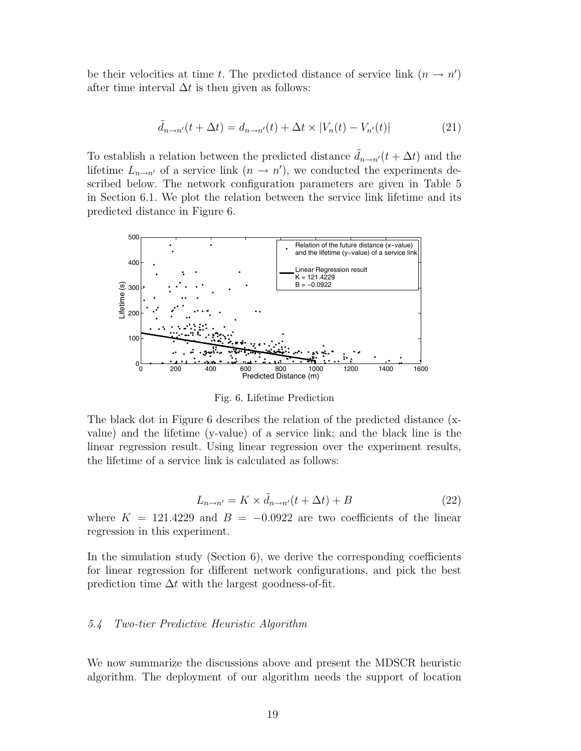be their velocities at time t. The predicted distance of service link  $(n \to n')$ after time interval  $\Delta t$  is then given as follows:

$$
\tilde{d}_{n \to n'}(t + \Delta t) = d_{n \to n'}(t) + \Delta t \times |V_n(t) - V_{n'}(t)| \tag{21}
$$

To establish a relation between the predicted distance  $\tilde{d}_{n \to n'}(t + \Delta t)$  and the lifetime  $L_{n\to n'}$  of a service link  $(n \to n')$ , we conducted the experiments described below. The network configuration parameters are given in Table 5 in Section 6.1. We plot the relation between the service link lifetime and its predicted distance in Figure 6.



Fig. 6. Lifetime Prediction

The black dot in Figure 6 describes the relation of the predicted distance (xvalue) and the lifetime (y-value) of a service link; and the black line is the linear regression result. Using linear regression over the experiment results, the lifetime of a service link is calculated as follows:

$$
L_{n \to n'} = K \times \tilde{d}_{n \to n'}(t + \Delta t) + B \tag{22}
$$

where  $K = 121.4229$  and  $B = -0.0922$  are two coefficients of the linear regression in this experiment.

In the simulation study (Section  $6$ ), we derive the corresponding coefficients for linear regression for different network configurations, and pick the best prediction time  $\Delta t$  with the largest goodness-of-fit.

## 5.4 Two-tier Predictive Heuristic Algorithm

We now summarize the discussions above and present the MDSCR heuristic algorithm. The deployment of our algorithm needs the support of location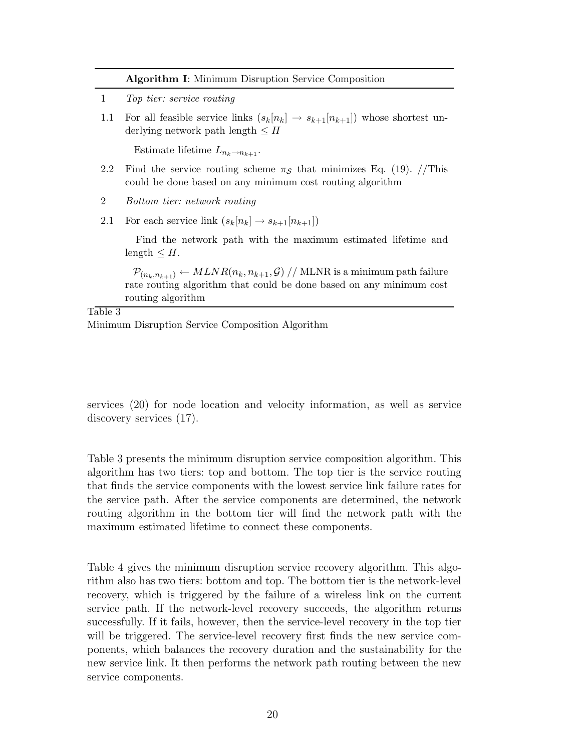#### **Algorithm I**: Minimum Disruption Service Composition

- 1 *Top tier: service routing*
- 1.1 For all feasible service links  $(s_k[n_k] \rightarrow s_{k+1}[n_{k+1}])$  whose shortest underlying network path length  $\leq H$

Estimate lifetime  $L_{n_k \to n_{k+1}}$ .

- 2.2 Find the service routing scheme  $\pi_{\mathcal{S}}$  that minimizes Eq. (19). //This could be done based on any minimum cost routing algorithm
- 2 *Bottom tier: network routing*
- 2.1 For each service link  $(s_k[n_k] \rightarrow s_{k+1}[n_{k+1}])$

Find the network path with the maximum estimated lifetime and length  $\leq H$ .

 $P_{(n_k,n_{k+1})} \leftarrow M L N R(n_k,n_{k+1},\mathcal{G}) / M L N R$  is a minimum path failure rate routing algorithm that could be done based on any minimum cost routing algorithm

Table 3 Minimum Disruption Service Composition Algorithm

services (20) for node location and velocity information, as well as service discovery services (17).

Table 3 presents the minimum disruption service composition algorithm. This algorithm has two tiers: top and bottom. The top tier is the service routing that finds the service components with the lowest service link failure rates for the service path. After the service components are determined, the network routing algorithm in the bottom tier will find the network path with the maximum estimated lifetime to connect these components.

Table 4 gives the minimum disruption service recovery algorithm. This algorithm also has two tiers: bottom and top. The bottom tier is the network-level recovery, which is triggered by the failure of a wireless link on the current service path. If the network-level recovery succeeds, the algorithm returns successfully. If it fails, however, then the service-level recovery in the top tier will be triggered. The service-level recovery first finds the new service components, which balances the recovery duration and the sustainability for the new service link. It then performs the network path routing between the new service components.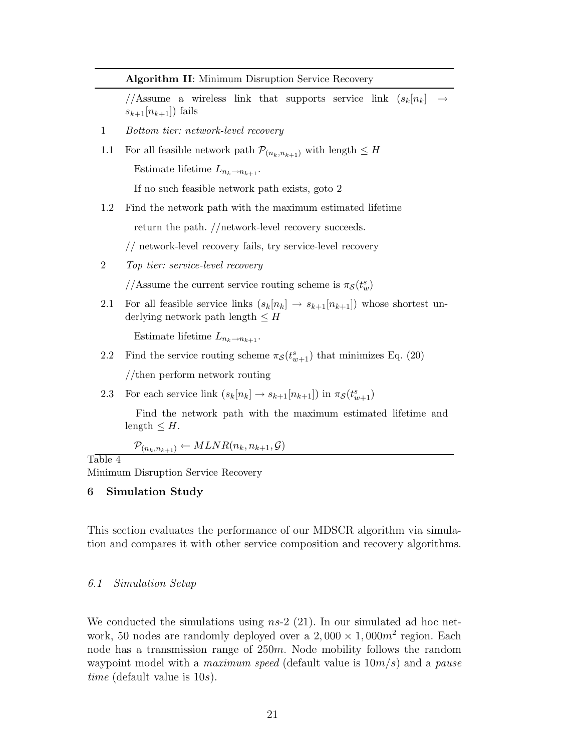| <b>Algorithm II:</b> Minimum Disruption Service Recovery |  |  |  |
|----------------------------------------------------------|--|--|--|
|                                                          |  |  |  |

//Assume a wireless link that supports service link  $(s_k[n_k]) \rightarrow$  $s_{k+1}[n_{k+1}]$  fails

- 1 *Bottom tier: network-level recovery*
- 1.1 For all feasible network path  $\mathcal{P}_{(n_k,n_{k+1})}$  with length  $\leq H$

Estimate lifetime  $L_{n_k \to n_{k+1}}$ .

If no such feasible network path exists, goto 2

1.2 Find the network path with the maximum estimated lifetime

return the path. //network-level recovery succeeds.

// network-level recovery fails, try service-level recovery

2 *Top tier: service-level recovery*

//Assume the current service routing scheme is  $\pi_{\mathcal{S}}(t^{s}_{w})$ 

2.1 For all feasible service links  $(s_k[n_k] \rightarrow s_{k+1}[n_{k+1}])$  whose shortest underlying network path length  $\leq H$ 

Estimate lifetime  $L_{n_k \to n_{k+1}}$ .

2.2 Find the service routing scheme  $\pi_{\mathcal{S}}(t_{w+1}^s)$  that minimizes Eq. (20)

//then perform network routing

2.3 For each service link  $(s_k[n_k] \rightarrow s_{k+1}[n_{k+1}])$  in  $\pi_{\mathcal{S}}(t_{w+1}^s)$ 

Find the network path with the maximum estimated lifetime and  $length < H$ .

 $P_{(n_k,n_{k+1})} \leftarrow M L N R(n_k,n_{k+1},\mathcal{G})$ 

Table 4

Minimum Disruption Service Recovery

## **6 Simulation Study**

This section evaluates the performance of our MDSCR algorithm via simulation and compares it with other service composition and recovery algorithms.

## 6.1 Simulation Setup

We conducted the simulations using  $ns-2$  (21). In our simulated ad hoc network, 50 nodes are randomly deployed over a  $2,000 \times 1,000m^2$  region. Each node has a transmission range of  $250m$ . Node mobility follows the random waypoint model with a *maximum speed* (default value is  $10m/s$ ) and a *pause* time (default value is 10s).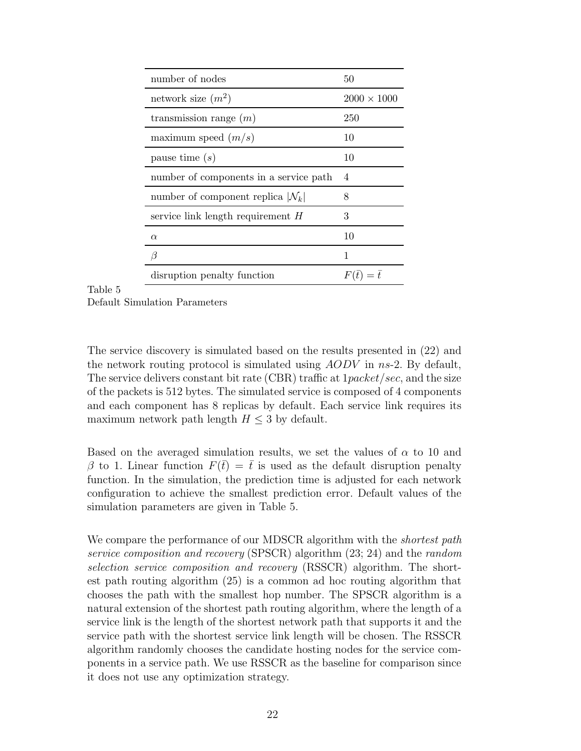| number of nodes                               | 50                  |  |
|-----------------------------------------------|---------------------|--|
| network size $(m^2)$                          | $2000 \times 1000$  |  |
| transmission range $(m)$                      | 250                 |  |
| maximum speed $(m/s)$                         | 10                  |  |
| pause time $(s)$                              | 10                  |  |
| number of components in a service path        | 4                   |  |
| number of component replica $ \mathcal{N}_k $ | 8                   |  |
| service link length requirement $H$           | 3                   |  |
| $\alpha$                                      | 10                  |  |
| $\beta$                                       | 1                   |  |
| disruption penalty function                   | $F(t)=\overline{t}$ |  |

Table 5

Default Simulation Parameters

The service discovery is simulated based on the results presented in (22) and the network routing protocol is simulated using AODV in ns-2. By default, The service delivers constant bit rate (CBR) traffic at  $1 packet/sec$ , and the size of the packets is 512 bytes. The simulated service is composed of 4 components and each component has 8 replicas by default. Each service link requires its maximum network path length  $H \leq 3$  by default.

Based on the averaged simulation results, we set the values of  $\alpha$  to 10 and  $\beta$  to 1. Linear function  $F(\bar{t}) = \bar{t}$  is used as the default disruption penalty function. In the simulation, the prediction time is adjusted for each network configuration to achieve the smallest prediction error. Default values of the simulation parameters are given in Table 5.

We compare the performance of our MDSCR algorithm with the *shortest path* service composition and recovery (SPSCR) algorithm (23; 24) and the random selection service composition and recovery (RSSCR) algorithm. The shortest path routing algorithm (25) is a common ad hoc routing algorithm that chooses the path with the smallest hop number. The SPSCR algorithm is a natural extension of the shortest path routing algorithm, where the length of a service link is the length of the shortest network path that supports it and the service path with the shortest service link length will be chosen. The RSSCR algorithm randomly chooses the candidate hosting nodes for the service components in a service path. We use RSSCR as the baseline for comparison since it does not use any optimization strategy.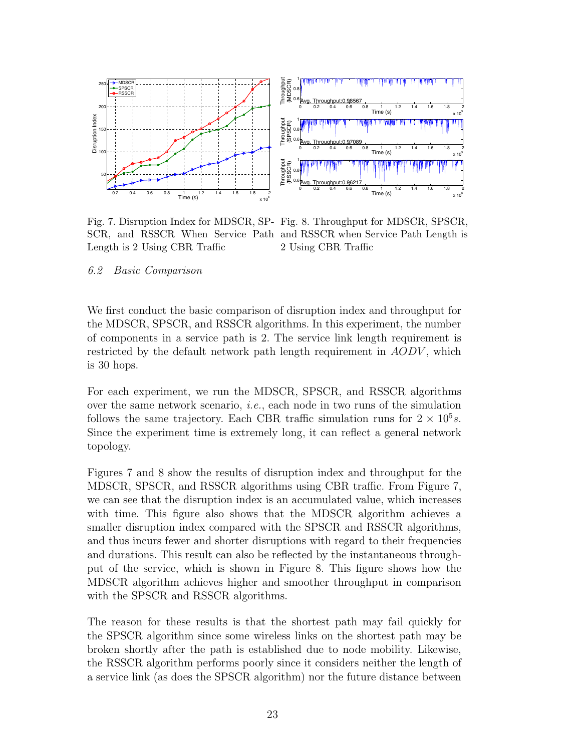

Fig. 7. Disruption Index for MDSCR, SP-Fig. 8. Throughput for MDSCR, SPSCR, SCR, and RSSCR When Service Path and RSSCR when Service Path Length is Length is 2 Using CBR Traffic 2 Using CBR Traffic

6.2 Basic Comparison

We first conduct the basic comparison of disruption index and throughput for the MDSCR, SPSCR, and RSSCR algorithms. In this experiment, the number of components in a service path is 2. The service link length requirement is restricted by the default network path length requirement in AODV, which is 30 hops.

For each experiment, we run the MDSCR, SPSCR, and RSSCR algorithms over the same network scenario, i.e., each node in two runs of the simulation follows the same trajectory. Each CBR traffic simulation runs for  $2 \times 10^5 s$ . Since the experiment time is extremely long, it can reflect a general network topology.

Figures 7 and 8 show the results of disruption index and throughput for the MDSCR, SPSCR, and RSSCR algorithms using CBR traffic. From Figure 7, we can see that the disruption index is an accumulated value, which increases with time. This figure also shows that the MDSCR algorithm achieves a smaller disruption index compared with the SPSCR and RSSCR algorithms, and thus incurs fewer and shorter disruptions with regard to their frequencies and durations. This result can also be reflected by the instantaneous throughput of the service, which is shown in Figure 8. This figure shows how the MDSCR algorithm achieves higher and smoother throughput in comparison with the SPSCR and RSSCR algorithms.

The reason for these results is that the shortest path may fail quickly for the SPSCR algorithm since some wireless links on the shortest path may be broken shortly after the path is established due to node mobility. Likewise, the RSSCR algorithm performs poorly since it considers neither the length of a service link (as does the SPSCR algorithm) nor the future distance between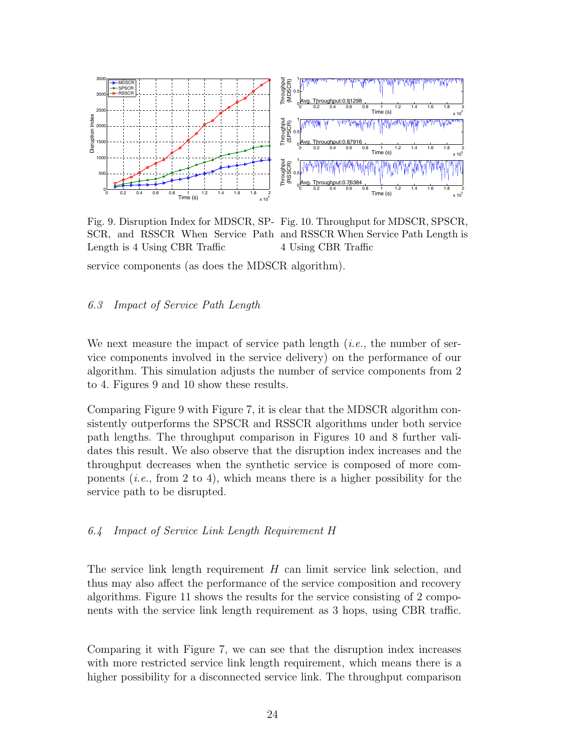

Fig. 9. Disruption Index for MDSCR, SP-Fig. 10. Throughput for MDSCR, SPSCR, SCR, and RSSCR When Service Path and RSSCR When Service Path Length is Length is 4 Using CBR Traffic 4 Using CBR Traffic

service components (as does the MDSCR algorithm).

## 6.3 Impact of Service Path Length

We next measure the impact of service path length  $(i.e.,$  the number of service components involved in the service delivery) on the performance of our algorithm. This simulation adjusts the number of service components from 2 to 4. Figures 9 and 10 show these results.

Comparing Figure 9 with Figure 7, it is clear that the MDSCR algorithm consistently outperforms the SPSCR and RSSCR algorithms under both service path lengths. The throughput comparison in Figures 10 and 8 further validates this result. We also observe that the disruption index increases and the throughput decreases when the synthetic service is composed of more components (*i.e.*, from 2 to 4), which means there is a higher possibility for the service path to be disrupted.

# 6.4 Impact of Service Link Length Requirement H

The service link length requirement  $H$  can limit service link selection, and thus may also affect the performance of the service composition and recovery algorithms. Figure 11 shows the results for the service consisting of 2 components with the service link length requirement as 3 hops, using CBR traffic.

Comparing it with Figure 7, we can see that the disruption index increases with more restricted service link length requirement, which means there is a higher possibility for a disconnected service link. The throughput comparison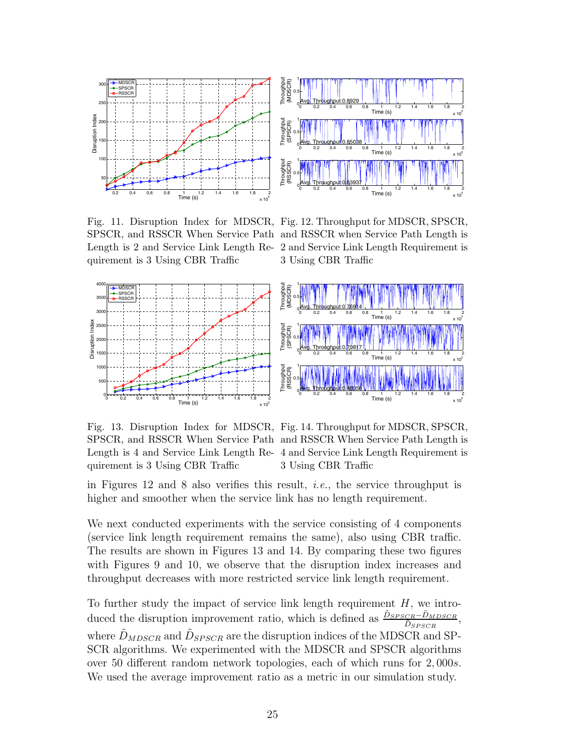

Fig. 11. Disruption Index for MDSCR, Fig. 12. Throughput for MDSCR, SPSCR, quirement is 3 Using CBR Traffic

SPSCR, and RSSCR When Service Path and RSSCR when Service Path Length is Length is 2 and Service Link Length Re-2 and Service Link Length Requirement is 3 Using CBR Traffic



quirement is 3 Using CBR Traffic

Fig. 13. Disruption Index for MDSCR, Fig. 14. Throughput for MDSCR, SPSCR, SPSCR, and RSSCR When Service Path and RSSCR When Service Path Length is Length is 4 and Service Link Length Re-4 and Service Link Length Requirement is 3 Using CBR Traffic

in Figures 12 and 8 also verifies this result, *i.e.*, the service throughput is higher and smoother when the service link has no length requirement.

We next conducted experiments with the service consisting of 4 components (service link length requirement remains the same), also using CBR traffic. The results are shown in Figures 13 and 14. By comparing these two figures with Figures 9 and 10, we observe that the disruption index increases and throughput decreases with more restricted service link length requirement.

To further study the impact of service link length requirement  $H$ , we introduced the disruption improvement ratio, which is defined as  $\frac{\tilde{D}_{SPSCR} - \tilde{D}_{MDSCR}}{\tilde{D}_{SPSCR}}$ , where  $\tilde{D}_{MDSCR}$  and  $\tilde{D}_{SPSCR}$  are the disruption indices of the MDSCR and SP-SCR algorithms. We experimented with the MDSCR and SPSCR algorithms over 50 different random network topologies, each of which runs for 2, 000s. We used the average improvement ratio as a metric in our simulation study.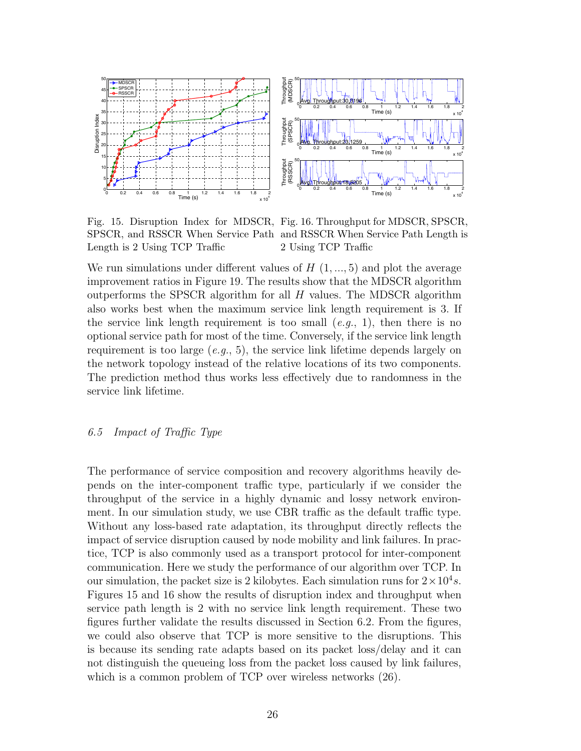

Fig. 15. Disruption Index for MDSCR, Fig. 16. Throughput for MDSCR, SPSCR, SPSCR, and RSSCR When Service Path and RSSCR When Service Path Length is Length is 2 Using TCP Traffic 2 Using TCP Traffic

We run simulations under different values of  $H(1, \ldots, 5)$  and plot the average improvement ratios in Figure 19. The results show that the MDSCR algorithm outperforms the SPSCR algorithm for all  $H$  values. The MDSCR algorithm also works best when the maximum service link length requirement is 3. If the service link length requirement is too small  $(e.g., 1)$ , then there is no optional service path for most of the time. Conversely, if the service link length requirement is too large  $(e.g., 5)$ , the service link lifetime depends largely on the network topology instead of the relative locations of its two components. The prediction method thus works less effectively due to randomness in the service link lifetime.

# 6.5 Impact of Traffic Type

The performance of service composition and recovery algorithms heavily depends on the inter-component traffic type, particularly if we consider the throughput of the service in a highly dynamic and lossy network environment. In our simulation study, we use CBR traffic as the default traffic type. Without any loss-based rate adaptation, its throughput directly reflects the impact of service disruption caused by node mobility and link failures. In practice, TCP is also commonly used as a transport protocol for inter-component communication. Here we study the performance of our algorithm over TCP. In our simulation, the packet size is 2 kilobytes. Each simulation runs for  $2 \times 10^4 s$ . Figures 15 and 16 show the results of disruption index and throughput when service path length is 2 with no service link length requirement. These two figures further validate the results discussed in Section 6.2. From the figures, we could also observe that TCP is more sensitive to the disruptions. This is because its sending rate adapts based on its packet loss/delay and it can not distinguish the queueing loss from the packet loss caused by link failures, which is a common problem of TCP over wireless networks  $(26)$ .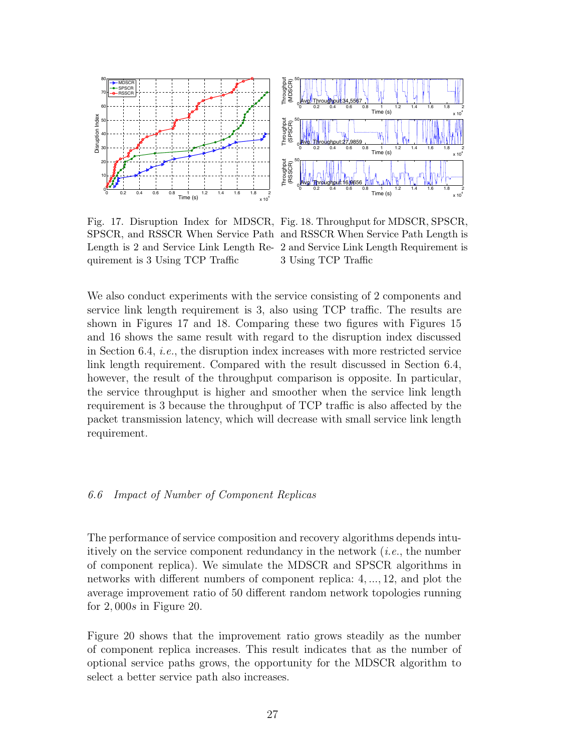

Fig. 17. Disruption Index for MDSCR, Fig. 18. Throughput for MDSCR, SPSCR, quirement is 3 Using TCP Traffic

SPSCR, and RSSCR When Service Path and RSSCR When Service Path Length is Length is 2 and Service Link Length Re-2 and Service Link Length Requirement is 3 Using TCP Traffic

We also conduct experiments with the service consisting of 2 components and service link length requirement is 3, also using TCP traffic. The results are shown in Figures 17 and 18. Comparing these two figures with Figures 15 and 16 shows the same result with regard to the disruption index discussed in Section 6.4, i.e., the disruption index increases with more restricted service link length requirement. Compared with the result discussed in Section 6.4, however, the result of the throughput comparison is opposite. In particular, the service throughput is higher and smoother when the service link length requirement is 3 because the throughput of TCP traffic is also affected by the packet transmission latency, which will decrease with small service link length requirement.

# 6.6 Impact of Number of Component Replicas

The performance of service composition and recovery algorithms depends intuitively on the service component redundancy in the network  $(i.e.,$  the number of component replica). We simulate the MDSCR and SPSCR algorithms in networks with different numbers of component replica: 4, ..., 12, and plot the average improvement ratio of 50 different random network topologies running for  $2,000s$  in Figure 20.

Figure 20 shows that the improvement ratio grows steadily as the number of component replica increases. This result indicates that as the number of optional service paths grows, the opportunity for the MDSCR algorithm to select a better service path also increases.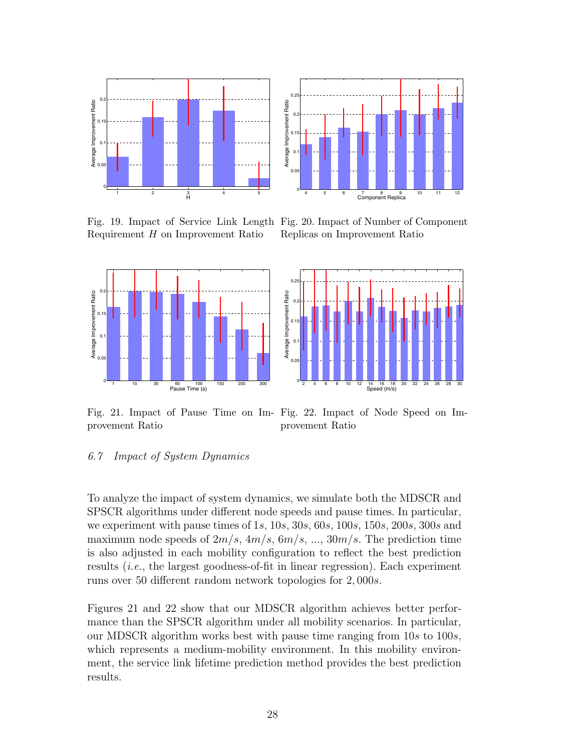



Requirement  $H$  on Improvement Ratio

Fig. 19. Impact of Service Link Length Fig. 20. Impact of Number of Component Replicas on Improvement Ratio





Fig. 21. Impact of Pause Time on Im-Fig. 22. Impact of Node Speed on Improvement Ratio provement Ratio

# 6.7 Impact of System Dynamics

To analyze the impact of system dynamics, we simulate both the MDSCR and SPSCR algorithms under different node speeds and pause times. In particular, we experiment with pause times of  $1s$ ,  $10s$ ,  $30s$ ,  $60s$ ,  $100s$ ,  $150s$ ,  $200s$ ,  $300s$  and maximum node speeds of  $2m/s$ ,  $4m/s$ ,  $6m/s$ , ...,  $30m/s$ . The prediction time is also adjusted in each mobility configuration to reflect the best prediction results (i.e., the largest goodness-of-fit in linear regression). Each experiment runs over 50 different random network topologies for 2, 000s.

Figures 21 and 22 show that our MDSCR algorithm achieves better performance than the SPSCR algorithm under all mobility scenarios. In particular, our MDSCR algorithm works best with pause time ranging from 10s to 100s, which represents a medium-mobility environment. In this mobility environment, the service link lifetime prediction method provides the best prediction results.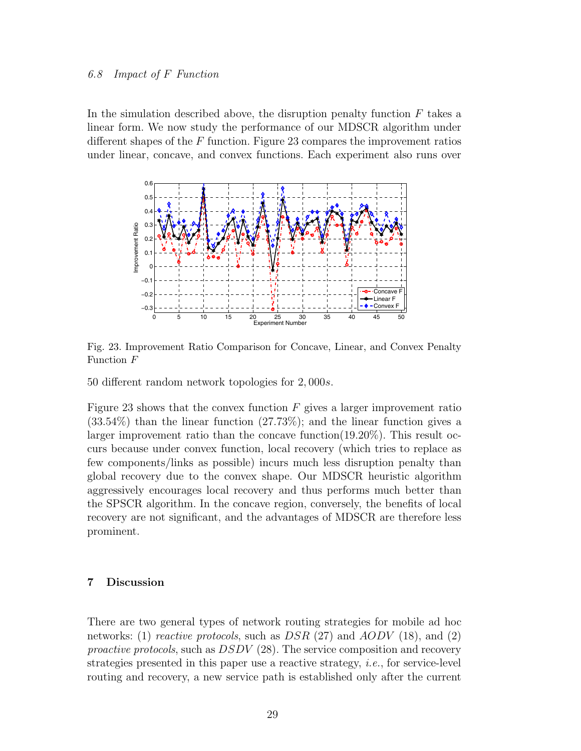## 6.8 Impact of F Function

In the simulation described above, the disruption penalty function  $F$  takes a linear form. We now study the performance of our MDSCR algorithm under different shapes of the  $F$  function. Figure 23 compares the improvement ratios under linear, concave, and convex functions. Each experiment also runs over



Fig. 23. Improvement Ratio Comparison for Concave, Linear, and Convex Penalty Function F

50 different random network topologies for 2, 000s.

Figure 23 shows that the convex function  $F$  gives a larger improvement ratio (33.54%) than the linear function (27.73%); and the linear function gives a larger improvement ratio than the concave function(19.20%). This result occurs because under convex function, local recovery (which tries to replace as few components/links as possible) incurs much less disruption penalty than global recovery due to the convex shape. Our MDSCR heuristic algorithm aggressively encourages local recovery and thus performs much better than the SPSCR algorithm. In the concave region, conversely, the benefits of local recovery are not significant, and the advantages of MDSCR are therefore less prominent.

## **7 Discussion**

There are two general types of network routing strategies for mobile ad hoc networks: (1) *reactive protocols*, such as  $DSR$  (27) and  $AODV$  (18), and (2) proactive protocols, such as DSDV (28). The service composition and recovery strategies presented in this paper use a reactive strategy, *i.e.*, for service-level routing and recovery, a new service path is established only after the current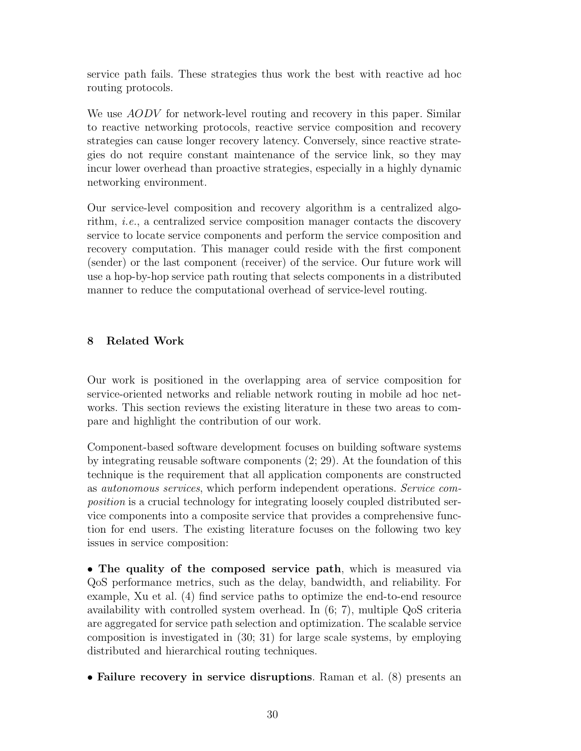service path fails. These strategies thus work the best with reactive ad hoc routing protocols.

We use *AODV* for network-level routing and recovery in this paper. Similar to reactive networking protocols, reactive service composition and recovery strategies can cause longer recovery latency. Conversely, since reactive strategies do not require constant maintenance of the service link, so they may incur lower overhead than proactive strategies, especially in a highly dynamic networking environment.

Our service-level composition and recovery algorithm is a centralized algorithm, i.e., a centralized service composition manager contacts the discovery service to locate service components and perform the service composition and recovery computation. This manager could reside with the first component (sender) or the last component (receiver) of the service. Our future work will use a hop-by-hop service path routing that selects components in a distributed manner to reduce the computational overhead of service-level routing.

# **8 Related Work**

Our work is positioned in the overlapping area of service composition for service-oriented networks and reliable network routing in mobile ad hoc networks. This section reviews the existing literature in these two areas to compare and highlight the contribution of our work.

Component-based software development focuses on building software systems by integrating reusable software components (2; 29). At the foundation of this technique is the requirement that all application components are constructed as autonomous services, which perform independent operations. Service composition is a crucial technology for integrating loosely coupled distributed service components into a composite service that provides a comprehensive function for end users. The existing literature focuses on the following two key issues in service composition:

• **The quality of the composed service path**, which is measured via QoS performance metrics, such as the delay, bandwidth, and reliability. For example, Xu et al. (4) find service paths to optimize the end-to-end resource availability with controlled system overhead. In (6; 7), multiple QoS criteria are aggregated for service path selection and optimization. The scalable service composition is investigated in (30; 31) for large scale systems, by employing distributed and hierarchical routing techniques.

• **Failure recovery in service disruptions**. Raman et al. (8) presents an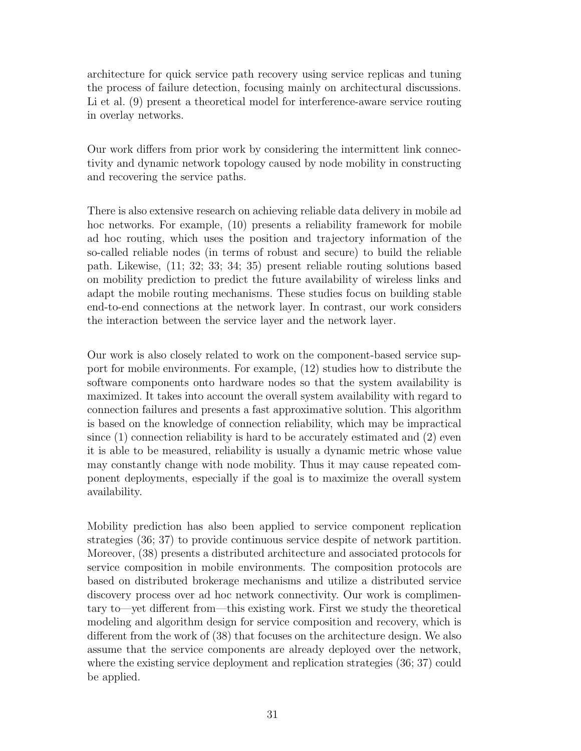architecture for quick service path recovery using service replicas and tuning the process of failure detection, focusing mainly on architectural discussions. Li et al. (9) present a theoretical model for interference-aware service routing in overlay networks.

Our work differs from prior work by considering the intermittent link connectivity and dynamic network topology caused by node mobility in constructing and recovering the service paths.

There is also extensive research on achieving reliable data delivery in mobile ad hoc networks. For example, (10) presents a reliability framework for mobile ad hoc routing, which uses the position and trajectory information of the so-called reliable nodes (in terms of robust and secure) to build the reliable path. Likewise, (11; 32; 33; 34; 35) present reliable routing solutions based on mobility prediction to predict the future availability of wireless links and adapt the mobile routing mechanisms. These studies focus on building stable end-to-end connections at the network layer. In contrast, our work considers the interaction between the service layer and the network layer.

Our work is also closely related to work on the component-based service support for mobile environments. For example, (12) studies how to distribute the software components onto hardware nodes so that the system availability is maximized. It takes into account the overall system availability with regard to connection failures and presents a fast approximative solution. This algorithm is based on the knowledge of connection reliability, which may be impractical since  $(1)$  connection reliability is hard to be accurately estimated and  $(2)$  even it is able to be measured, reliability is usually a dynamic metric whose value may constantly change with node mobility. Thus it may cause repeated component deployments, especially if the goal is to maximize the overall system availability.

Mobility prediction has also been applied to service component replication strategies (36; 37) to provide continuous service despite of network partition. Moreover, (38) presents a distributed architecture and associated protocols for service composition in mobile environments. The composition protocols are based on distributed brokerage mechanisms and utilize a distributed service discovery process over ad hoc network connectivity. Our work is complimentary to—yet different from—this existing work. First we study the theoretical modeling and algorithm design for service composition and recovery, which is different from the work of (38) that focuses on the architecture design. We also assume that the service components are already deployed over the network, where the existing service deployment and replication strategies (36; 37) could be applied.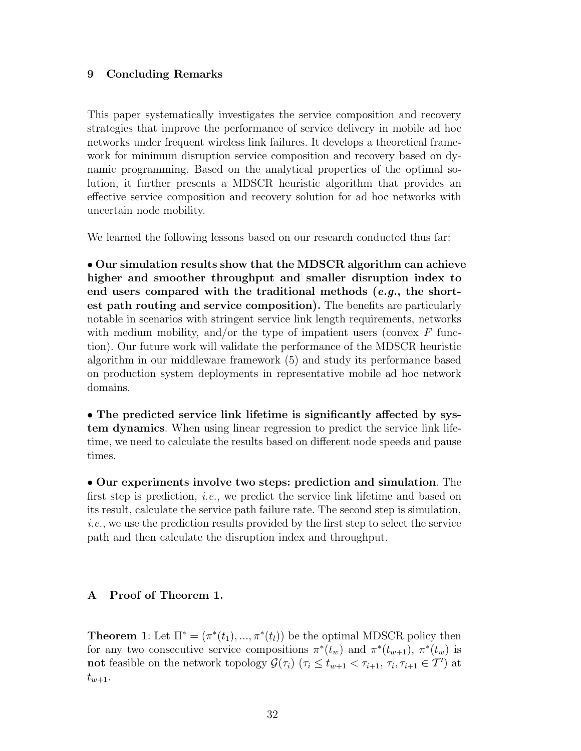## **9 Concluding Remarks**

This paper systematically investigates the service composition and recovery strategies that improve the performance of service delivery in mobile ad hoc networks under frequent wireless link failures. It develops a theoretical framework for minimum disruption service composition and recovery based on dynamic programming. Based on the analytical properties of the optimal solution, it further presents a MDSCR heuristic algorithm that provides an effective service composition and recovery solution for ad hoc networks with uncertain node mobility.

We learned the following lessons based on our research conducted thus far:

• **Our simulation results show that the MDSCR algorithm can achieve higher and smoother throughput and smaller disruption index to end users compared with the traditional methods (***e.g.***, the shortest path routing and service composition).** The benefits are particularly notable in scenarios with stringent service link length requirements, networks with medium mobility, and/or the type of impatient users (convex  $F$  function). Our future work will validate the performance of the MDSCR heuristic algorithm in our middleware framework (5) and study its performance based on production system deployments in representative mobile ad hoc network domains.

• **The predicted service link lifetime is significantly affected by system dynamics**. When using linear regression to predict the service link lifetime, we need to calculate the results based on different node speeds and pause times.

• **Our experiments involve two steps: prediction and simulation**. The first step is prediction, *i.e.*, we predict the service link lifetime and based on its result, calculate the service path failure rate. The second step is simulation, i.e., we use the prediction results provided by the first step to select the service path and then calculate the disruption index and throughput.

# **A Proof of Theorem 1.**

**Theorem 1**: Let  $\Pi^* = (\pi^*(t_1), ..., \pi^*(t_l))$  be the optimal MDSCR policy then for any two consecutive service compositions  $\pi^*(t_w)$  and  $\pi^*(t_{w+1}), \pi^*(t_w)$  is **not** feasible on the network topology  $\mathcal{G}(\tau_i)$  ( $\tau_i \le t_{w+1} < \tau_{i+1}, \tau_i, \tau_{i+1} \in \mathcal{T}'$ ) at  $t_{w+1}$ .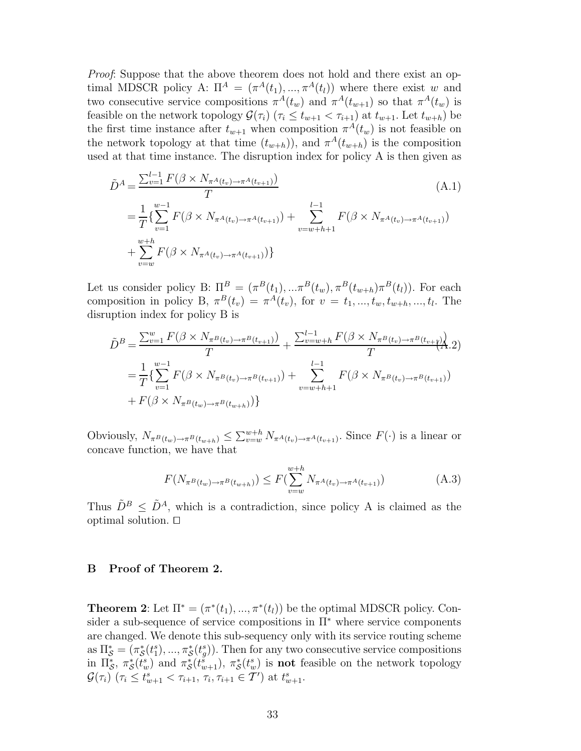Proof: Suppose that the above theorem does not hold and there exist an optimal MDSCR policy A:  $\Pi^A = (\pi^A(t_1), ..., \pi^A(t_l))$  where there exist w and two consecutive service compositions  $\pi^{A}(t_{w})$  and  $\pi^{A}(t_{w+1})$  so that  $\pi^{A}(t_{w})$  is feasible on the network topology  $\mathcal{G}(\tau_i)$  ( $\tau_i \leq t_{w+1} < \tau_{i+1}$ ) at  $t_{w+1}$ . Let  $t_{w+h}$ ) be the first time instance after  $t_{w+1}$  when composition  $\pi^{A}(t_{w})$  is not feasible on the network topology at that time  $(t_{w+h})$ , and  $\pi^{A}(t_{w+h})$  is the composition used at that time instance. The disruption index for policy A is then given as

$$
\tilde{D}^{A} = \frac{\sum_{v=1}^{l-1} F(\beta \times N_{\pi^{A}(t_v) \to \pi^{A}(t_{v+1}))}}{T}
$$
\n
$$
(A.1)
$$

$$
= \frac{1}{T} \{ \sum_{v=1}^{w-1} F(\beta \times N_{\pi^A(t_v) \to \pi^A(t_{v+1})}) + \sum_{v=w+h+1}^{l-1} F(\beta \times N_{\pi^A(t_v) \to \pi^A(t_{v+1})}) + \sum_{v=w}^{w+h} F(\beta \times N_{\pi^A(t_v) \to \pi^A(t_{v+1})}) \}
$$

Let us consider policy B:  $\Pi^B = (\pi^B(t_1), \dots, \pi^B(t_w), \pi^B(t_{w+h})\pi^B(t_l))$ . For each composition in policy B,  $\pi^{B}(t_v) = \pi^{A}(t_v)$ , for  $v = t_1, ..., t_w, t_{w+h}, ..., t_l$ . The disruption index for policy B is

$$
\tilde{D}^{B} = \frac{\sum_{v=1}^{w} F(\beta \times N_{\pi^{B}(t_{v}) \to \pi^{B}(t_{v+1})})}{T} + \frac{\sum_{v=w+h}^{l-1} F(\beta \times N_{\pi^{B}(t_{v}) \to \pi^{B}(t_{v+1})})}{T}
$$
\n
$$
= \frac{1}{T} \{ \sum_{v=1}^{w-1} F(\beta \times N_{\pi^{B}(t_{v}) \to \pi^{B}(t_{v+1})}) + \sum_{v=w+h+1}^{l-1} F(\beta \times N_{\pi^{B}(t_{v}) \to \pi^{B}(t_{v+1})}) + F(\beta \times N_{\pi^{B}(t_{w}) \to \pi^{B}(t_{w+h})}) \}
$$

Obviously,  $N_{\pi^B(t_w)\to\pi^B(t_{w+h})} \leq \sum_{v=w}^{w+h} N_{\pi^A(t_v)\to\pi^A(t_{v+1})}$ . Since  $F(\cdot)$  is a linear or concave function, we have that

$$
F(N_{\pi^{B}(t_w)\to\pi^{B}(t_{w+h})}) \le F(\sum_{v=w}^{w+h} N_{\pi^{A}(t_v)\to\pi^{A}(t_{v+1})})
$$
(A.3)

Thus  $\tilde{D}^B \leq \tilde{D}^A$ , which is a contradiction, since policy A is claimed as the optimal solution.

# **B Proof of Theorem 2.**

**Theorem 2**: Let  $\Pi^* = (\pi^*(t_1), ..., \pi^*(t_l))$  be the optimal MDSCR policy. Consider a sub-sequence of service compositions in  $\Pi^*$  where service components are changed. We denote this sub-sequency only with its service routing scheme as  $\Pi_{\mathcal{S}}^* = (\pi_{\mathcal{S}}^*(t_1^s), ..., \pi_{\mathcal{S}}^*(t_g^s))$ . Then for any two consecutive service compositions in  $\Pi_{\mathcal{S}}^*, \pi_{\mathcal{S}}^*(t_w^s)$  and  $\pi_{\mathcal{S}}^*(t_{w+1}^s), \pi_{\mathcal{S}}^*(t_w^s)$  is **not** feasible on the network topology  $\mathcal{G}(\tau_i)$   $(\tau_i \leq t_{w+1}^s < \tau_{i+1}, \tau_i, \tau_{i+1} \in \mathcal{T}')$  at  $t_{w+1}^s$ .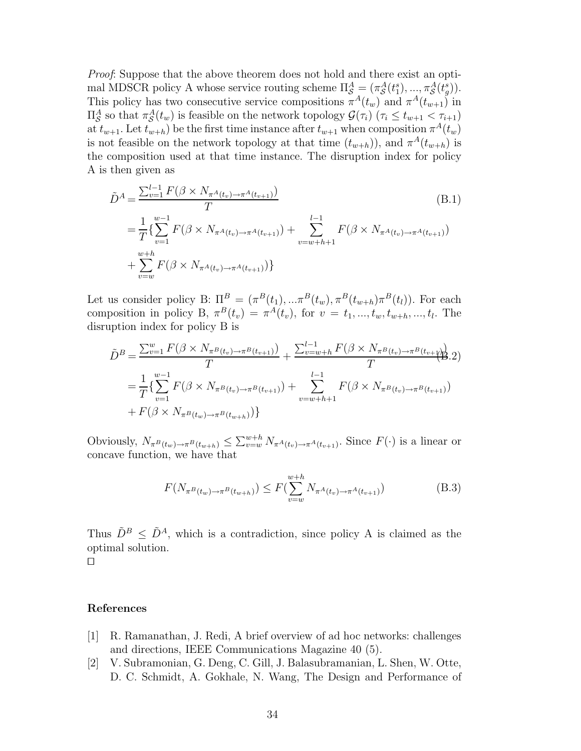Proof: Suppose that the above theorem does not hold and there exist an optimal MDSCR policy A whose service routing scheme  $\Pi_{\mathcal{S}}^A = (\pi_{\mathcal{S}}^A(t_1^s), ..., \pi_{\mathcal{S}}^A(t_g^s)).$ This policy has two consecutive service compositions  $\pi^{A}(t_{w})$  and  $\pi^{A}(t_{w+1})$  in  $\Pi_{\mathcal{S}}^A$  so that  $\pi_{\mathcal{S}}^A(t_w)$  is feasible on the network topology  $\mathcal{G}(\tau_i)$   $(\tau_i \leq t_{w+1} < \tau_{i+1})$ at  $t_{w+1}$ . Let  $t_{w+h}$  be the first time instance after  $t_{w+1}$  when composition  $\pi^{A}(t_{w})$ is not feasible on the network topology at that time  $(t_{w+h})$ , and  $\pi^{A}(t_{w+h})$  is the composition used at that time instance. The disruption index for policy A is then given as

$$
\tilde{D}^{A} = \frac{\sum_{v=1}^{l-1} F(\beta \times N_{\pi^{A}(t_{v}) \to \pi^{A}(t_{v+1}))}}{T}
$$
\n
$$
= \frac{1}{T} \{ \sum_{v=1}^{w-1} F(\beta \times N_{\pi^{A}(t_{v}) \to \pi^{A}(t_{v+1}))} + \sum_{v=w+h+1}^{l-1} F(\beta \times N_{\pi^{A}(t_{v}) \to \pi^{A}(t_{v+1}))} + \sum_{v=w}^{w+h} F(\beta \times N_{\pi^{A}(t_{v}) \to \pi^{A}(t_{v+1}))} \}
$$
\n(B.1)

Let us consider policy B:  $\Pi^B = (\pi^B(t_1), \ldots, \pi^B(t_w), \pi^B(t_{w+h}) \pi^B(t_l))$ . For each composition in policy B,  $\pi^{B}(t_v) = \pi^{A}(t_v)$ , for  $v = t_1, ..., t_w, t_{w+h}, ..., t_l$ . The disruption index for policy B is

$$
\tilde{D}^{B} = \frac{\sum_{v=1}^{w} F(\beta \times N_{\pi^{B}(t_{v}) \to \pi^{B}(t_{v+1})})}{T} + \frac{\sum_{v=w+h}^{l-1} F(\beta \times N_{\pi^{B}(t_{v}) \to \pi^{B}(t_{v+1})})}{T}
$$
\n
$$
= \frac{1}{T} \{ \sum_{v=1}^{w-1} F(\beta \times N_{\pi^{B}(t_{v}) \to \pi^{B}(t_{v+1})}) + \sum_{v=w+h+1}^{l-1} F(\beta \times N_{\pi^{B}(t_{v}) \to \pi^{B}(t_{v+1})}) + F(\beta \times N_{\pi^{B}(t_{w}) \to \pi^{B}(t_{w+h})}) \}
$$

Obviously,  $N_{\pi^B(t_w)\to\pi^B(t_{w+h})} \leq \sum_{v=w}^{w+h} N_{\pi^A(t_v)\to\pi^A(t_{v+1})}$ . Since  $F(\cdot)$  is a linear or concave function, we have that

$$
F(N_{\pi^{B}(t_w)\to\pi^{B}(t_{w+h})}) \le F(\sum_{v=w}^{w+h} N_{\pi^{A}(t_v)\to\pi^{A}(t_{v+1})})
$$
(B.3)

Thus  $\tilde{D}^B \leq \tilde{D}^A$ , which is a contradiction, since policy A is claimed as the optimal solution.  $\Box$ 

## **References**

- [1] R. Ramanathan, J. Redi, A brief overview of ad hoc networks: challenges and directions, IEEE Communications Magazine 40 (5).
- [2] V. Subramonian, G. Deng, C. Gill, J. Balasubramanian, L. Shen, W. Otte, D. C. Schmidt, A. Gokhale, N. Wang, The Design and Performance of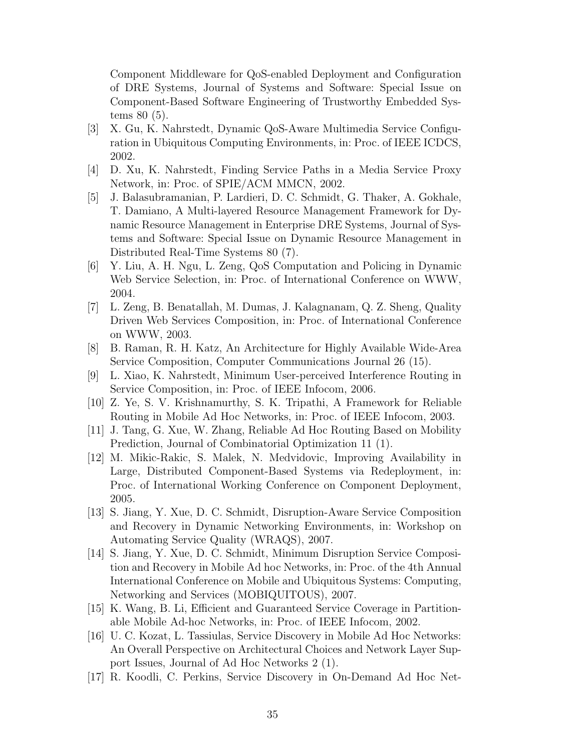Component Middleware for QoS-enabled Deployment and Configuration of DRE Systems, Journal of Systems and Software: Special Issue on Component-Based Software Engineering of Trustworthy Embedded Systems 80 (5).

- [3] X. Gu, K. Nahrstedt, Dynamic QoS-Aware Multimedia Service Configuration in Ubiquitous Computing Environments, in: Proc. of IEEE ICDCS, 2002.
- [4] D. Xu, K. Nahrstedt, Finding Service Paths in a Media Service Proxy Network, in: Proc. of SPIE/ACM MMCN, 2002.
- [5] J. Balasubramanian, P. Lardieri, D. C. Schmidt, G. Thaker, A. Gokhale, T. Damiano, A Multi-layered Resource Management Framework for Dynamic Resource Management in Enterprise DRE Systems, Journal of Systems and Software: Special Issue on Dynamic Resource Management in Distributed Real-Time Systems 80 (7).
- [6] Y. Liu, A. H. Ngu, L. Zeng, QoS Computation and Policing in Dynamic Web Service Selection, in: Proc. of International Conference on WWW, 2004.
- [7] L. Zeng, B. Benatallah, M. Dumas, J. Kalagnanam, Q. Z. Sheng, Quality Driven Web Services Composition, in: Proc. of International Conference on WWW, 2003.
- [8] B. Raman, R. H. Katz, An Architecture for Highly Available Wide-Area Service Composition, Computer Communications Journal 26 (15).
- [9] L. Xiao, K. Nahrstedt, Minimum User-perceived Interference Routing in Service Composition, in: Proc. of IEEE Infocom, 2006.
- [10] Z. Ye, S. V. Krishnamurthy, S. K. Tripathi, A Framework for Reliable Routing in Mobile Ad Hoc Networks, in: Proc. of IEEE Infocom, 2003.
- [11] J. Tang, G. Xue, W. Zhang, Reliable Ad Hoc Routing Based on Mobility Prediction, Journal of Combinatorial Optimization 11 (1).
- [12] M. Mikic-Rakic, S. Malek, N. Medvidovic, Improving Availability in Large, Distributed Component-Based Systems via Redeployment, in: Proc. of International Working Conference on Component Deployment, 2005.
- [13] S. Jiang, Y. Xue, D. C. Schmidt, Disruption-Aware Service Composition and Recovery in Dynamic Networking Environments, in: Workshop on Automating Service Quality (WRAQS), 2007.
- [14] S. Jiang, Y. Xue, D. C. Schmidt, Minimum Disruption Service Composition and Recovery in Mobile Ad hoc Networks, in: Proc. of the 4th Annual International Conference on Mobile and Ubiquitous Systems: Computing, Networking and Services (MOBIQUITOUS), 2007.
- [15] K. Wang, B. Li, Efficient and Guaranteed Service Coverage in Partitionable Mobile Ad-hoc Networks, in: Proc. of IEEE Infocom, 2002.
- [16] U. C. Kozat, L. Tassiulas, Service Discovery in Mobile Ad Hoc Networks: An Overall Perspective on Architectural Choices and Network Layer Support Issues, Journal of Ad Hoc Networks 2 (1).
- [17] R. Koodli, C. Perkins, Service Discovery in On-Demand Ad Hoc Net-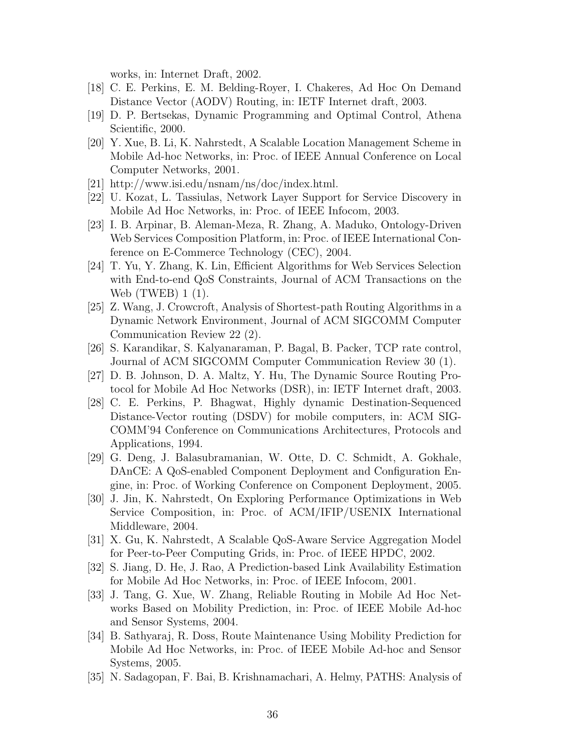works, in: Internet Draft, 2002.

- [18] C. E. Perkins, E. M. Belding-Royer, I. Chakeres, Ad Hoc On Demand Distance Vector (AODV) Routing, in: IETF Internet draft, 2003.
- [19] D. P. Bertsekas, Dynamic Programming and Optimal Control, Athena Scientific, 2000.
- [20] Y. Xue, B. Li, K. Nahrstedt, A Scalable Location Management Scheme in Mobile Ad-hoc Networks, in: Proc. of IEEE Annual Conference on Local Computer Networks, 2001.
- [21] http://www.isi.edu/nsnam/ns/doc/index.html.
- [22] U. Kozat, L. Tassiulas, Network Layer Support for Service Discovery in Mobile Ad Hoc Networks, in: Proc. of IEEE Infocom, 2003.
- [23] I. B. Arpinar, B. Aleman-Meza, R. Zhang, A. Maduko, Ontology-Driven Web Services Composition Platform, in: Proc. of IEEE International Conference on E-Commerce Technology (CEC), 2004.
- [24] T. Yu, Y. Zhang, K. Lin, Efficient Algorithms for Web Services Selection with End-to-end QoS Constraints, Journal of ACM Transactions on the Web (TWEB) 1 (1).
- [25] Z. Wang, J. Crowcroft, Analysis of Shortest-path Routing Algorithms in a Dynamic Network Environment, Journal of ACM SIGCOMM Computer Communication Review 22 (2).
- [26] S. Karandikar, S. Kalyanaraman, P. Bagal, B. Packer, TCP rate control, Journal of ACM SIGCOMM Computer Communication Review 30 (1).
- [27] D. B. Johnson, D. A. Maltz, Y. Hu, The Dynamic Source Routing Protocol for Mobile Ad Hoc Networks (DSR), in: IETF Internet draft, 2003.
- [28] C. E. Perkins, P. Bhagwat, Highly dynamic Destination-Sequenced Distance-Vector routing (DSDV) for mobile computers, in: ACM SIG-COMM'94 Conference on Communications Architectures, Protocols and Applications, 1994.
- [29] G. Deng, J. Balasubramanian, W. Otte, D. C. Schmidt, A. Gokhale, DAnCE: A QoS-enabled Component Deployment and Configuration Engine, in: Proc. of Working Conference on Component Deployment, 2005.
- [30] J. Jin, K. Nahrstedt, On Exploring Performance Optimizations in Web Service Composition, in: Proc. of ACM/IFIP/USENIX International Middleware, 2004.
- [31] X. Gu, K. Nahrstedt, A Scalable QoS-Aware Service Aggregation Model for Peer-to-Peer Computing Grids, in: Proc. of IEEE HPDC, 2002.
- [32] S. Jiang, D. He, J. Rao, A Prediction-based Link Availability Estimation for Mobile Ad Hoc Networks, in: Proc. of IEEE Infocom, 2001.
- [33] J. Tang, G. Xue, W. Zhang, Reliable Routing in Mobile Ad Hoc Networks Based on Mobility Prediction, in: Proc. of IEEE Mobile Ad-hoc and Sensor Systems, 2004.
- [34] B. Sathyaraj, R. Doss, Route Maintenance Using Mobility Prediction for Mobile Ad Hoc Networks, in: Proc. of IEEE Mobile Ad-hoc and Sensor Systems, 2005.
- [35] N. Sadagopan, F. Bai, B. Krishnamachari, A. Helmy, PATHS: Analysis of